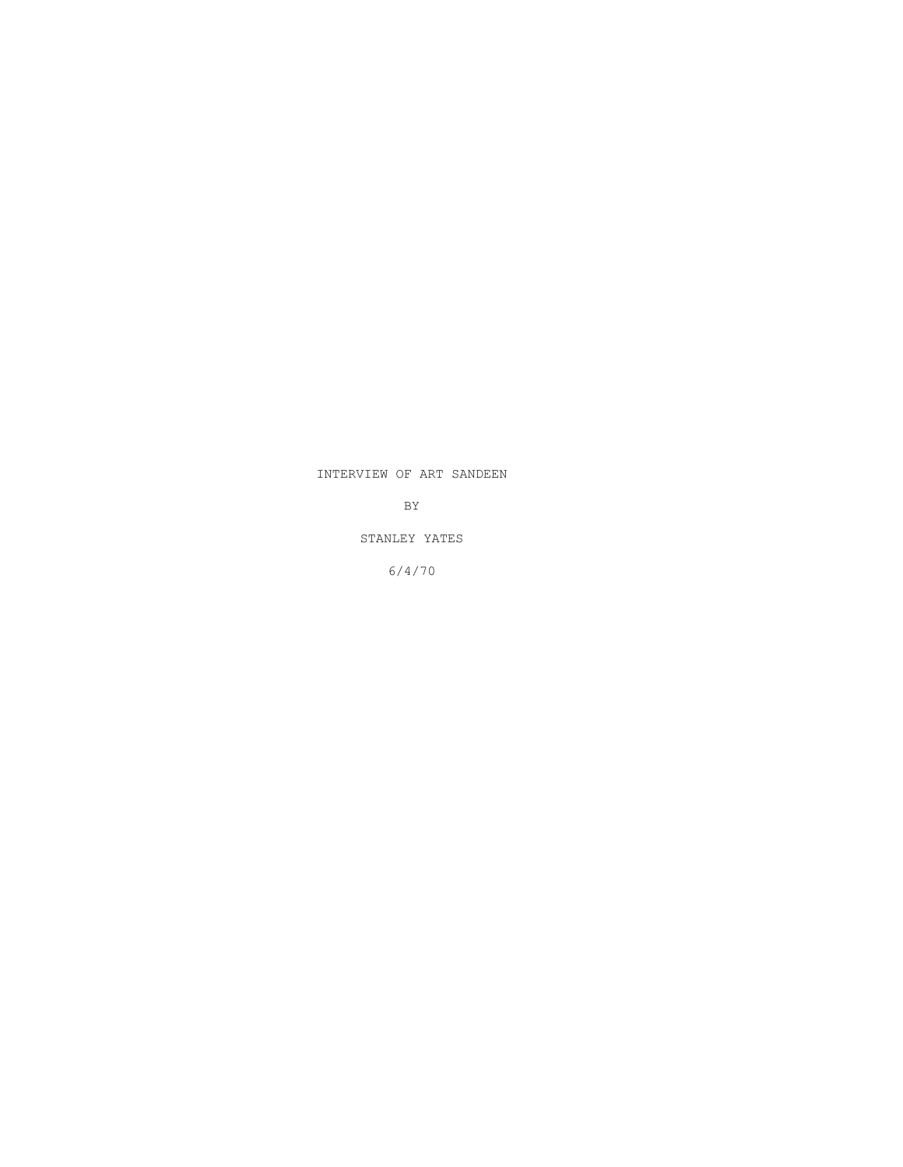## INTERVIEW OF ART SANDEEN

BY

STANLEY YATES

6/4/70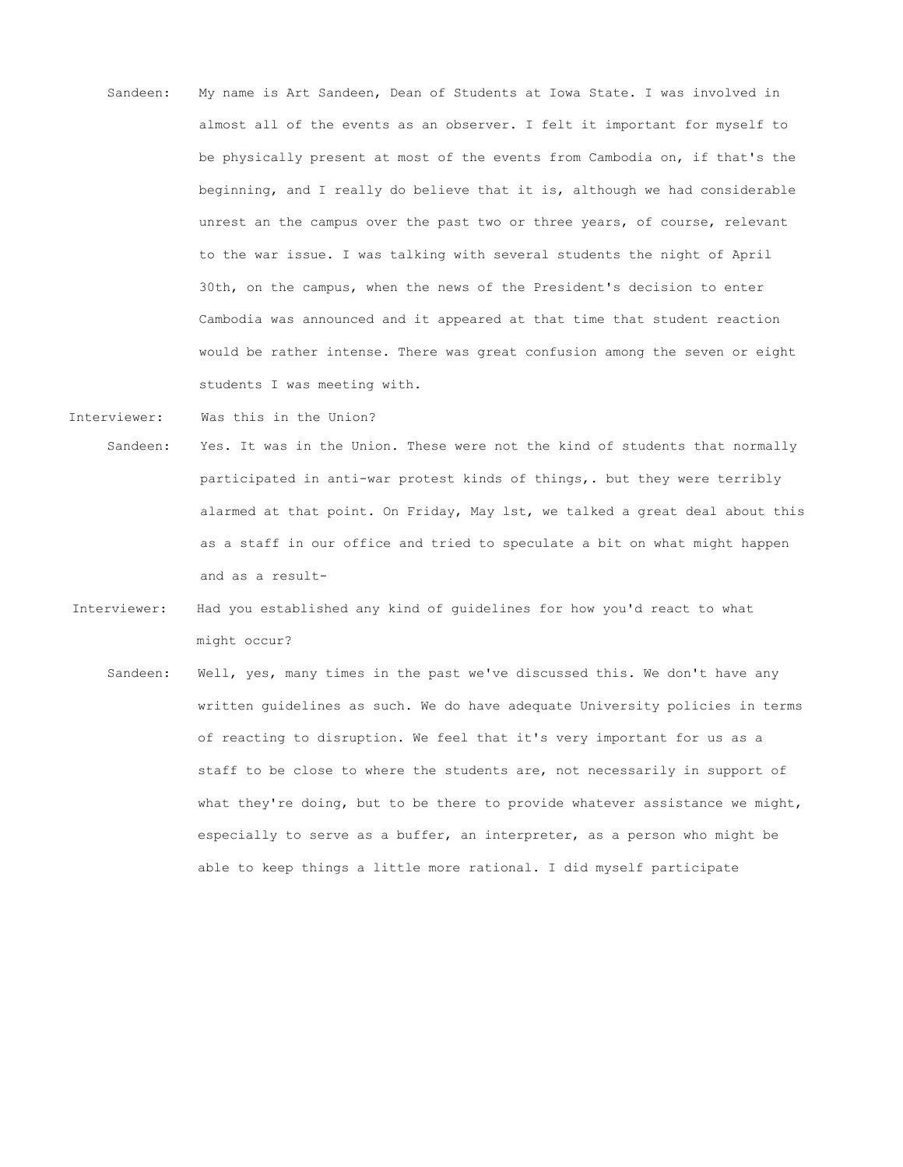- Sandeen: My name is Art Sandeen, Dean of Students at Iowa State. I was involved in almost all of the events as an observer. I felt it important for myself to be physically present at most of the events from Cambodia on, if that's the beginning, and I really do believe that it is, although we had considerable unrest an the campus over the past two or three years, of course, relevant to the war issue. I was talking with several students the night of April 30th, on the campus, when the news of the President's decision to enter Cambodia was announced and it appeared at that time that student reaction would be rather intense. There was great confusion among the seven or eight students I was meeting with.
- Interviewer: Was this in the Union?
- Sandeen: Yes. It was in the Union. These were not the kind of students that normally participated in anti-war protest kinds of things,. but they were terribly alarmed at that point. On Friday, May lst, we talked a great deal about this as a staff in our office and tried to speculate a bit on what might happen and as a result-
- Interviewer: Had you established any kind of guidelines for how you'd react to what might occur?
	- Sandeen: Well, yes, many times in the past we've discussed this. We don't have any written guidelines as such. We do have adequate University policies in terms of reacting to disruption. We feel that it's very important for us as a staff to be close to where the students are, not necessarily in support of what they're doing, but to be there to provide whatever assistance we might, especially to serve as a buffer, an interpreter, as a person who might be able to keep things a little more rational. I did myself participate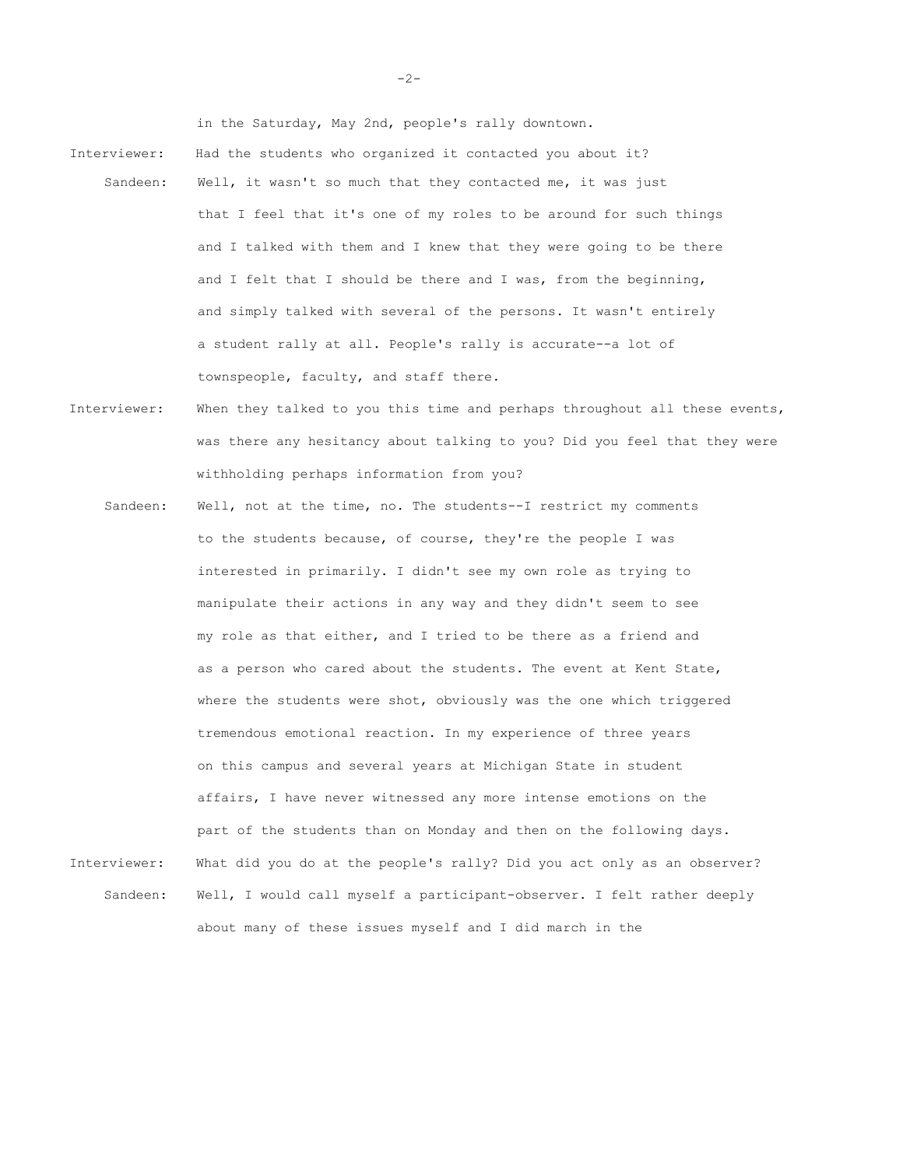in the Saturday, May 2nd, people's rally downtown.

- Interviewer: Had the students who organized it contacted you about it? Sandeen: Well, it wasn't so much that they contacted me, it was just that I feel that it's one of my roles to be around for such things and I talked with them and I knew that they were going to be there and I felt that I should be there and I was, from the beginning, and simply talked with several of the persons. It wasn't entirely a student rally at all. People's rally is accurate--a lot of townspeople, faculty, and staff there.
- Interviewer: When they talked to you this time and perhaps throughout all these events, was there any hesitancy about talking to you? Did you feel that they were withholding perhaps information from you?
- Sandeen: Well, not at the time, no. The students--I restrict my comments to the students because, of course, they're the people I was interested in primarily. I didn't see my own role as trying to manipulate their actions in any way and they didn't seem to see my role as that either, and I tried to be there as a friend and as a person who cared about the students. The event at Kent State, where the students were shot, obviously was the one which triggered tremendous emotional reaction. In my experience of three years on this campus and several years at Michigan State in student affairs, I have never witnessed any more intense emotions on the part of the students than on Monday and then on the following days. Interviewer: What did you do at the people's rally? Did you act only as an observer? Sandeen: Well, I would call myself a participant-observer. I felt rather deeply about many of these issues myself and I did march in the

 $-2-$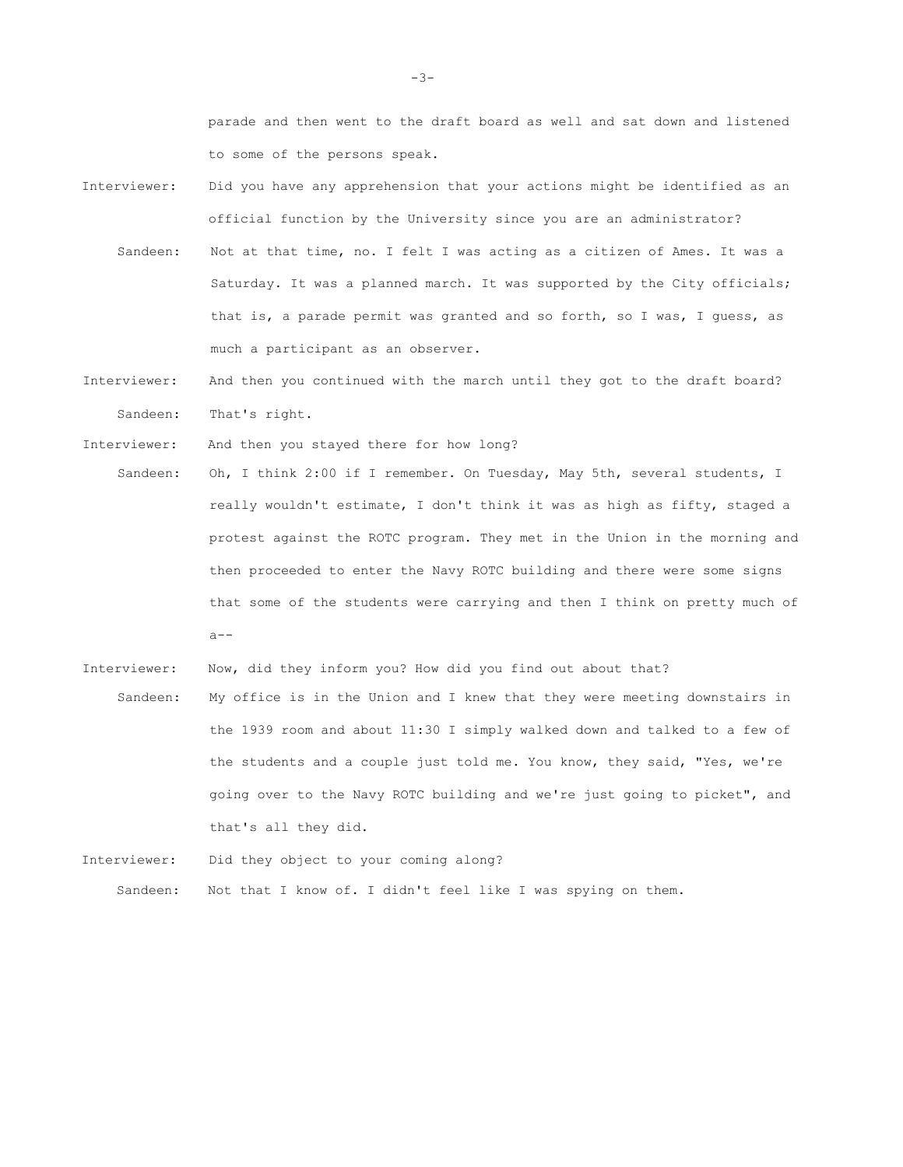parade and then went to the draft board as well and sat down and listened to some of the persons speak.

- Interviewer: Did you have any apprehension that your actions might be identified as an official function by the University since you are an administrator? Sandeen: Not at that time, no. I felt I was acting as a citizen of Ames. It was a Saturday. It was a planned march. It was supported by the City officials; that is, a parade permit was granted and so forth, so I was, I guess, as much a participant as an observer.
- Interviewer: And then you continued with the march until they got to the draft board? Sandeen: That's right.

Interviewer: And then you stayed there for how long?

- Sandeen: Oh, I think 2:00 if I remember. On Tuesday, May 5th, several students, I really wouldn't estimate, I don't think it was as high as fifty, staged a protest against the ROTC program. They met in the Union in the morning and then proceeded to enter the Navy ROTC building and there were some signs that some of the students were carrying and then I think on pretty much of  $a--$
- Interviewer: Now, did they inform you? How did you find out about that? Sandeen: My office is in the Union and I knew that they were meeting downstairs in the 1939 room and about 11:30 I simply walked down and talked to a few of the students and a couple just told me. You know, they said, "Yes, we're going over to the Navy ROTC building and we're just going to picket", and that's all they did.

Interviewer: Did they object to your coming along? Sandeen: Not that I know of. I didn't feel like I was spying on them.

 $-3-$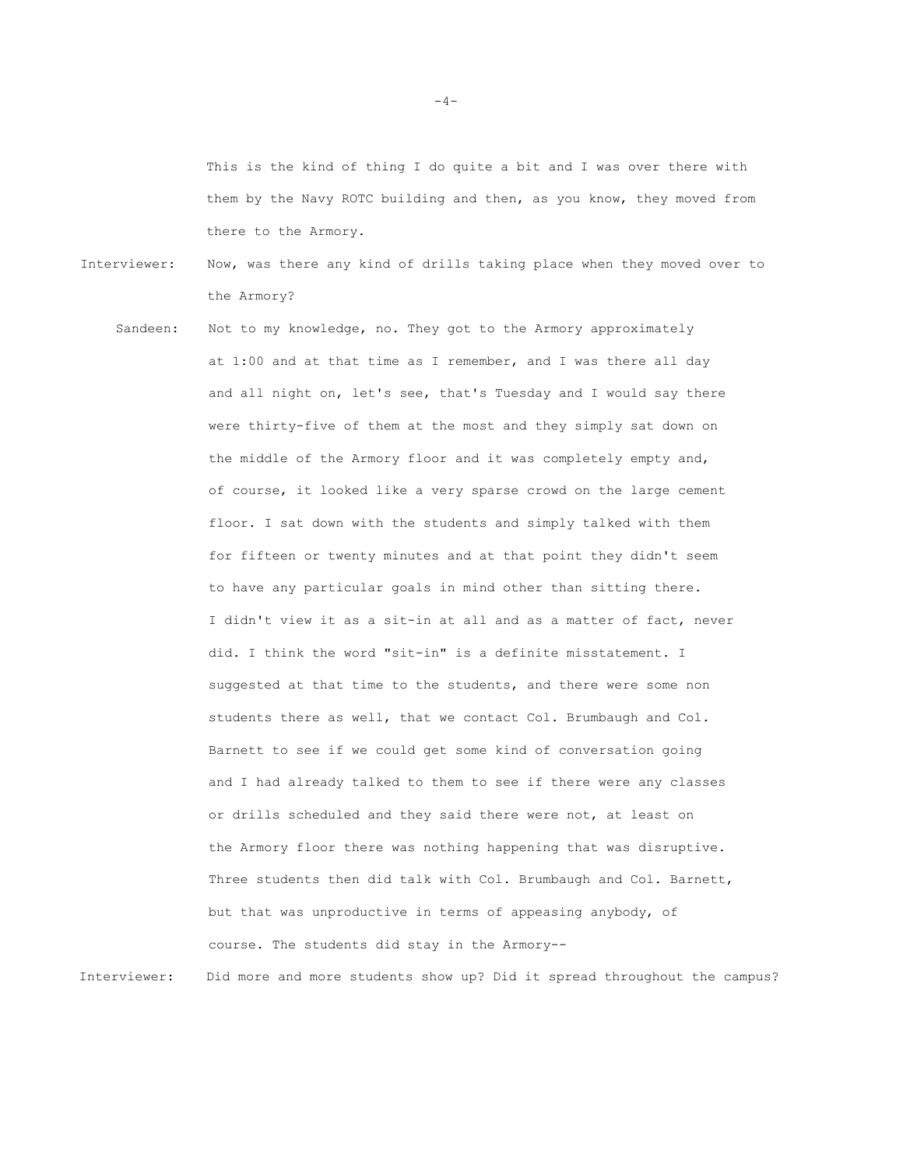This is the kind of thing I do quite a bit and I was over there with them by the Navy ROTC building and then, as you know, they moved from there to the Armory.

Interviewer: Now, was there any kind of drills taking place when they moved over to the Armory?

Sandeen: Not to my knowledge, no. They got to the Armory approximately at 1:00 and at that time as I remember, and I was there all day and all night on, let's see, that's Tuesday and I would say there were thirty-five of them at the most and they simply sat down on the middle of the Armory floor and it was completely empty and, of course, it looked like a very sparse crowd on the large cement floor. I sat down with the students and simply talked with them for fifteen or twenty minutes and at that point they didn't seem to have any particular goals in mind other than sitting there. I didn't view it as a sit-in at all and as a matter of fact, never did. I think the word "sit-in" is a definite misstatement. I suggested at that time to the students, and there were some non students there as well, that we contact Col. Brumbaugh and Col. Barnett to see if we could get some kind of conversation going and I had already talked to them to see if there were any classes or drills scheduled and they said there were not, at least on the Armory floor there was nothing happening that was disruptive. Three students then did talk with Col. Brumbaugh and Col. Barnett, but that was unproductive in terms of appeasing anybody, of course. The students did stay in the Armory--

Interviewer: Did more and more students show up? Did it spread throughout the campus?

 $-4-$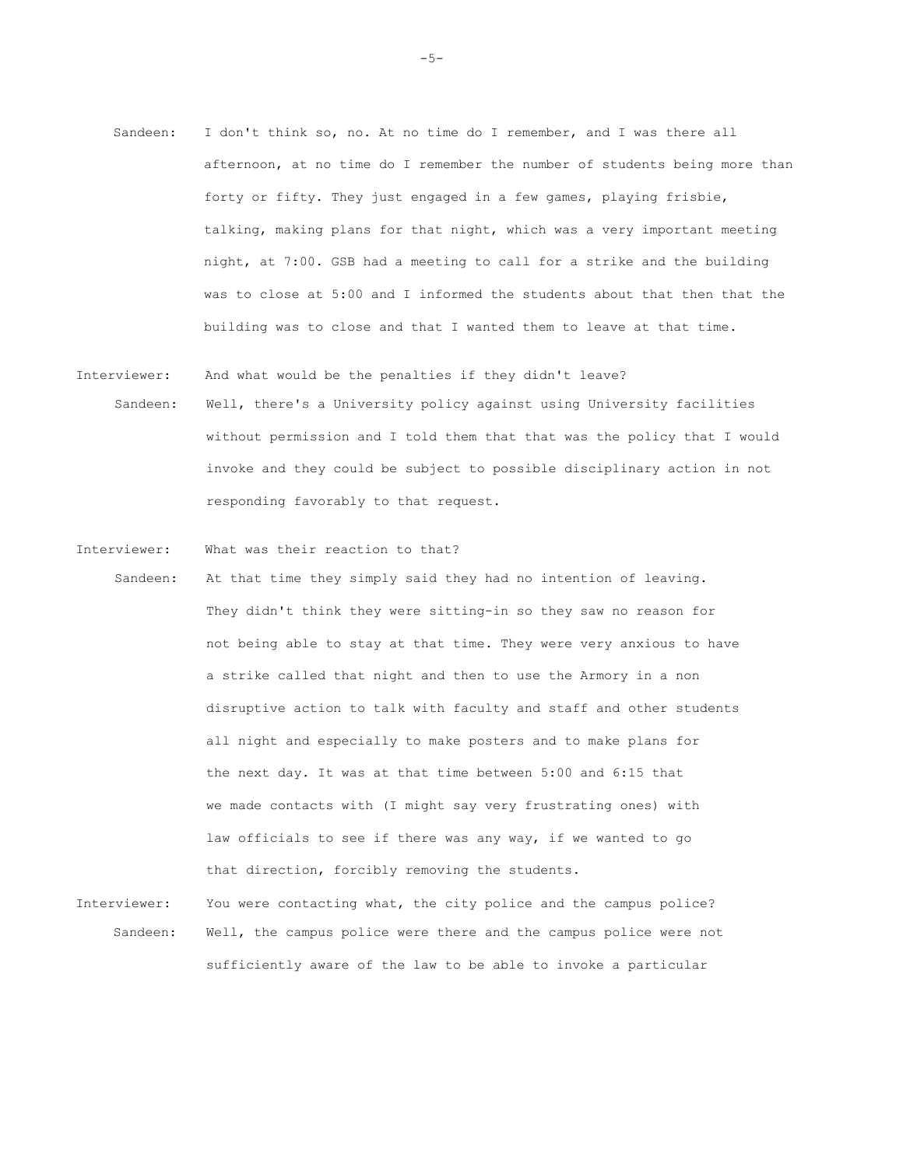- Sandeen: I don't think so, no. At no time do I remember, and I was there all afternoon, at no time do I remember the number of students being more than forty or fifty. They just engaged in a few games, playing frisbie, talking, making plans for that night, which was a very important meeting night, at 7:00. GSB had a meeting to call for a strike and the building was to close at 5:00 and I informed the students about that then that the building was to close and that I wanted them to leave at that time.
- Interviewer: And what would be the penalties if they didn't leave? Sandeen: Well, there's a University policy against using University facilities without permission and I told them that that was the policy that I would invoke and they could be subject to possible disciplinary action in not responding favorably to that request.
- Interviewer: What was their reaction to that?
- Sandeen: At that time they simply said they had no intention of leaving. They didn't think they were sitting-in so they saw no reason for not being able to stay at that time. They were very anxious to have a strike called that night and then to use the Armory in a non disruptive action to talk with faculty and staff and other students all night and especially to make posters and to make plans for the next day. It was at that time between 5:00 and 6:15 that we made contacts with (I might say very frustrating ones) with law officials to see if there was any way, if we wanted to go that direction, forcibly removing the students.
- Interviewer: You were contacting what, the city police and the campus police? Sandeen: Well, the campus police were there and the campus police were not sufficiently aware of the law to be able to invoke a particular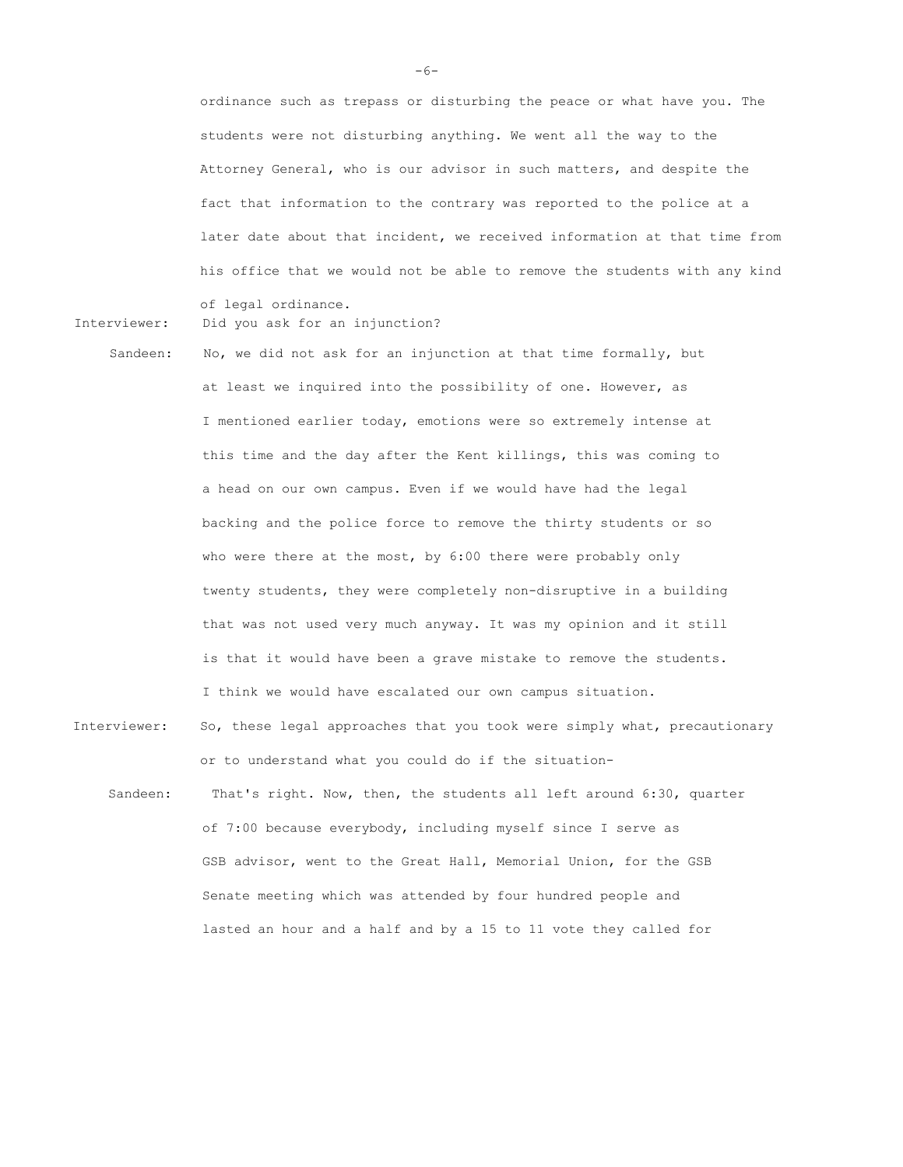ordinance such as trepass or disturbing the peace or what have you. The students were not disturbing anything. We went all the way to the Attorney General, who is our advisor in such matters, and despite the fact that information to the contrary was reported to the police at a later date about that incident, we received information at that time from his office that we would not be able to remove the students with any kind of legal ordinance.

Interviewer: Did you ask for an injunction?

- Sandeen: No, we did not ask for an injunction at that time formally, but at least we inquired into the possibility of one. However, as I mentioned earlier today, emotions were so extremely intense at this time and the day after the Kent killings, this was coming to a head on our own campus. Even if we would have had the legal backing and the police force to remove the thirty students or so who were there at the most, by 6:00 there were probably only twenty students, they were completely non-disruptive in a building that was not used very much anyway. It was my opinion and it still is that it would have been a grave mistake to remove the students. I think we would have escalated our own campus situation.
- Interviewer: So, these legal approaches that you took were simply what, precautionary or to understand what you could do if the situation-
	- Sandeen: That's right. Now, then, the students all left around 6:30, quarter of 7:00 because everybody, including myself since I serve as GSB advisor, went to the Great Hall, Memorial Union, for the GSB Senate meeting which was attended by four hundred people and lasted an hour and a half and by a 15 to 11 vote they called for

-6-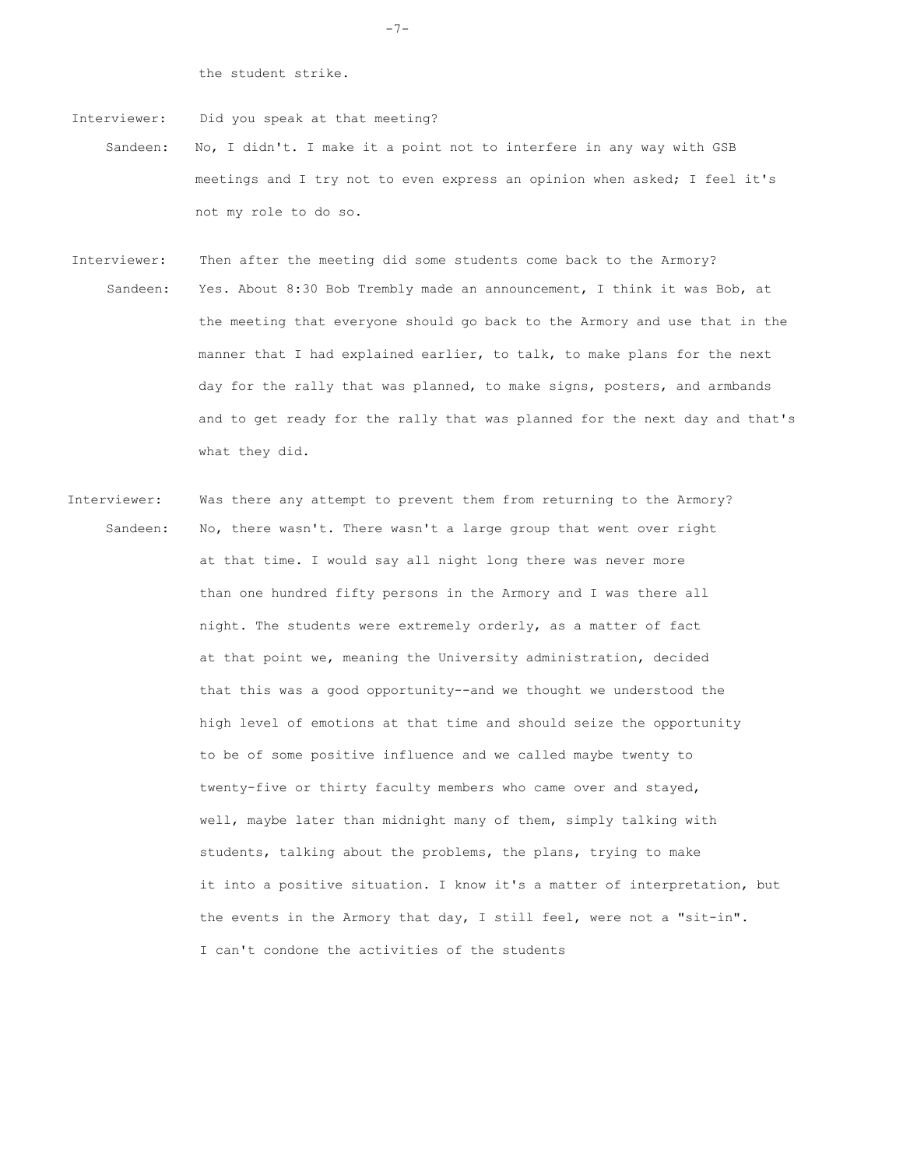the student strike.

Interviewer: Did you speak at that meeting?

- Sandeen: No, I didn't. I make it a point not to interfere in any way with GSB meetings and I try not to even express an opinion when asked; I feel it's not my role to do so.
- Interviewer: Then after the meeting did some students come back to the Armory? Sandeen: Yes. About 8:30 Bob Trembly made an announcement, I think it was Bob, at the meeting that everyone should go back to the Armory and use that in the manner that I had explained earlier, to talk, to make plans for the next day for the rally that was planned, to make signs, posters, and armbands and to get ready for the rally that was planned for the next day and that's what they did.
- Interviewer: Was there any attempt to prevent them from returning to the Armory? Sandeen: No, there wasn't. There wasn't a large group that went over right at that time. I would say all night long there was never more than one hundred fifty persons in the Armory and I was there all night. The students were extremely orderly, as a matter of fact at that point we, meaning the University administration, decided that this was a good opportunity--and we thought we understood the high level of emotions at that time and should seize the opportunity to be of some positive influence and we called maybe twenty to twenty-five or thirty faculty members who came over and stayed, well, maybe later than midnight many of them, simply talking with students, talking about the problems, the plans, trying to make it into a positive situation. I know it's a matter of interpretation, but the events in the Armory that day, I still feel, were not a "sit-in". I can't condone the activities of the students

-7-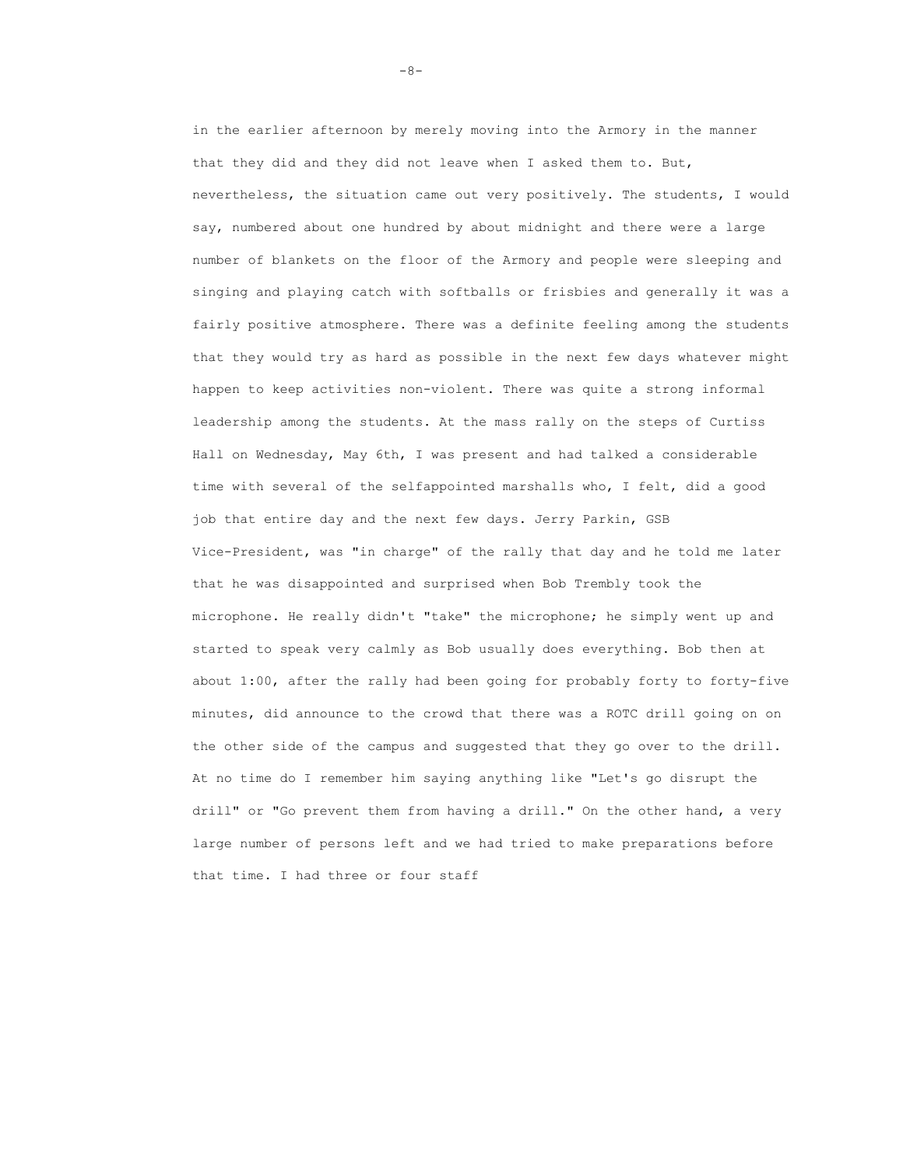in the earlier afternoon by merely moving into the Armory in the manner that they did and they did not leave when I asked them to. But, nevertheless, the situation came out very positively. The students, I would say, numbered about one hundred by about midnight and there were a large number of blankets on the floor of the Armory and people were sleeping and singing and playing catch with softballs or frisbies and generally it was a fairly positive atmosphere. There was a definite feeling among the students that they would try as hard as possible in the next few days whatever might happen to keep activities non-violent. There was quite a strong informal leadership among the students. At the mass rally on the steps of Curtiss Hall on Wednesday, May 6th, I was present and had talked a considerable time with several of the selfappointed marshalls who, I felt, did a good job that entire day and the next few days. Jerry Parkin, GSB Vice-President, was "in charge" of the rally that day and he told me later that he was disappointed and surprised when Bob Trembly took the microphone. He really didn't "take" the microphone; he simply went up and started to speak very calmly as Bob usually does everything. Bob then at about 1:00, after the rally had been going for probably forty to forty-five minutes, did announce to the crowd that there was a ROTC drill going on on the other side of the campus and suggested that they go over to the drill. At no time do I remember him saying anything like "Let's go disrupt the drill" or "Go prevent them from having a drill." On the other hand, a very large number of persons left and we had tried to make preparations before that time. I had three or four staff

-8-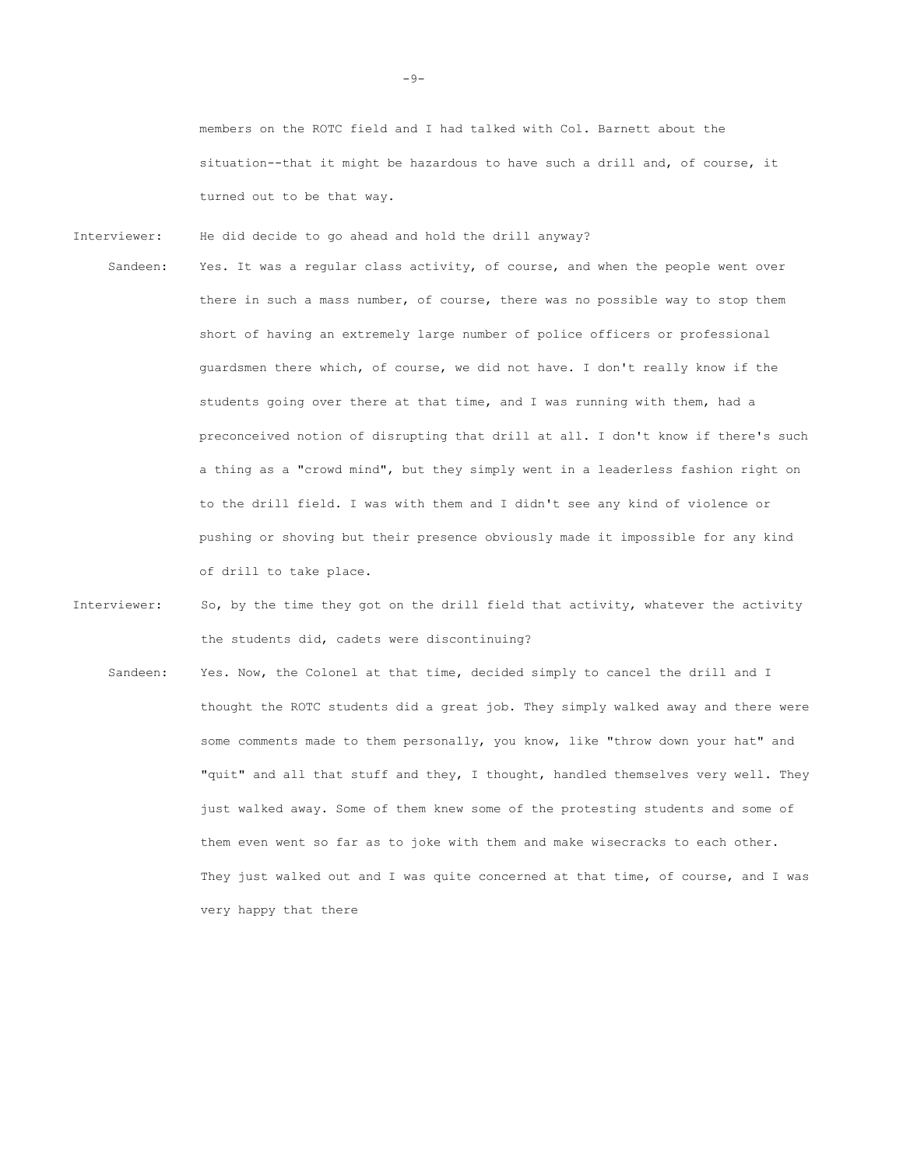members on the ROTC field and I had talked with Col. Barnett about the situation--that it might be hazardous to have such a drill and, of course, it turned out to be that way.

Interviewer: He did decide to go ahead and hold the drill anyway?

Sandeen: Yes. It was a regular class activity, of course, and when the people went over there in such a mass number, of course, there was no possible way to stop them short of having an extremely large number of police officers or professional guardsmen there which, of course, we did not have. I don't really know if the students going over there at that time, and I was running with them, had a preconceived notion of disrupting that drill at all. I don't know if there's such a thing as a "crowd mind", but they simply went in a leaderless fashion right on to the drill field. I was with them and I didn't see any kind of violence or pushing or shoving but their presence obviously made it impossible for any kind of drill to take place.

- Interviewer: So, by the time they got on the drill field that activity, whatever the activity the students did, cadets were discontinuing?
	- Sandeen: Yes. Now, the Colonel at that time, decided simply to cancel the drill and I thought the ROTC students did a great job. They simply walked away and there were some comments made to them personally, you know, like "throw down your hat" and "quit" and all that stuff and they, I thought, handled themselves very well. They just walked away. Some of them knew some of the protesting students and some of them even went so far as to joke with them and make wisecracks to each other. They just walked out and I was quite concerned at that time, of course, and I was very happy that there

-9-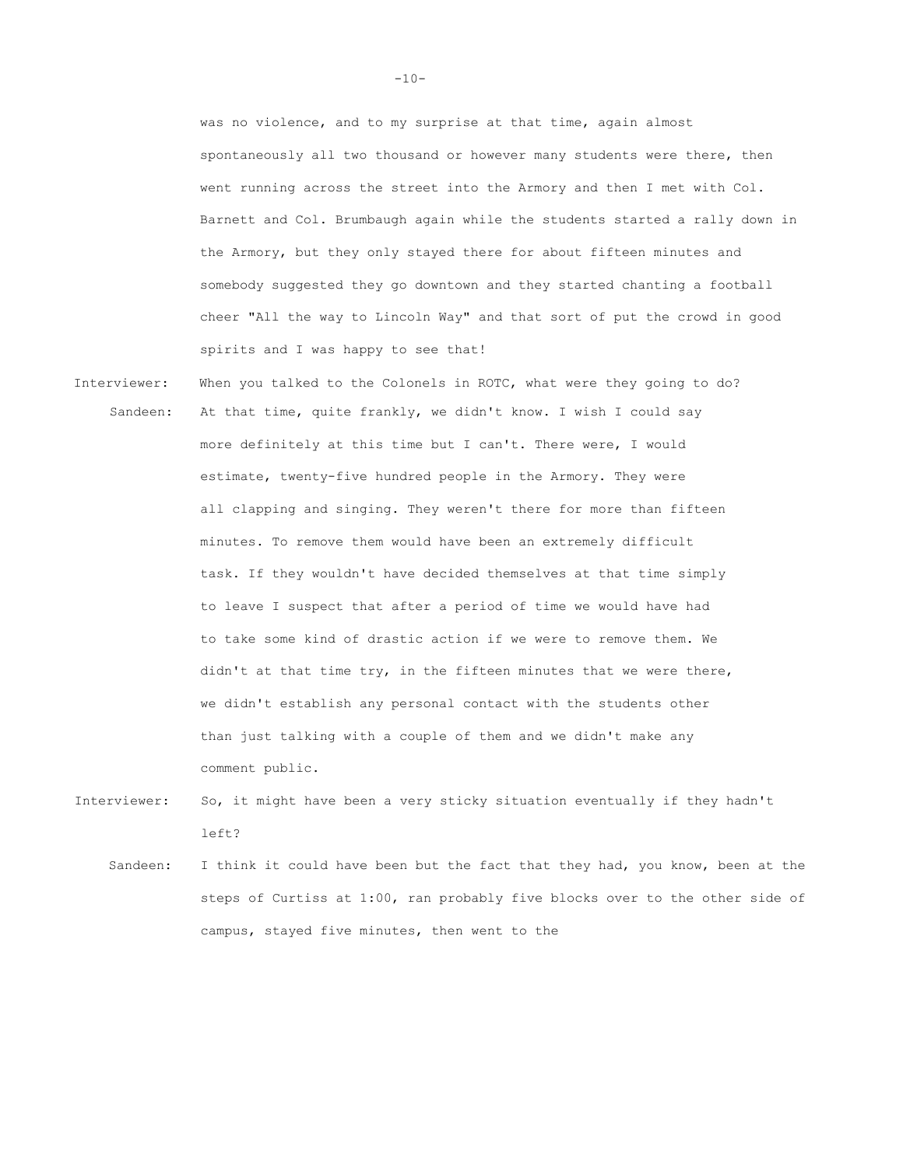was no violence, and to my surprise at that time, again almost spontaneously all two thousand or however many students were there, then went running across the street into the Armory and then I met with Col. Barnett and Col. Brumbaugh again while the students started a rally down in the Armory, but they only stayed there for about fifteen minutes and somebody suggested they go downtown and they started chanting a football cheer "All the way to Lincoln Way" and that sort of put the crowd in good spirits and I was happy to see that!

- Interviewer: When you talked to the Colonels in ROTC, what were they going to do? Sandeen: At that time, quite frankly, we didn't know. I wish I could say more definitely at this time but I can't. There were, I would estimate, twenty-five hundred people in the Armory. They were all clapping and singing. They weren't there for more than fifteen minutes. To remove them would have been an extremely difficult task. If they wouldn't have decided themselves at that time simply to leave I suspect that after a period of time we would have had to take some kind of drastic action if we were to remove them. We didn't at that time try, in the fifteen minutes that we were there, we didn't establish any personal contact with the students other than just talking with a couple of them and we didn't make any comment public.
- Interviewer: So, it might have been a very sticky situation eventually if they hadn't left?
	- Sandeen: I think it could have been but the fact that they had, you know, been at the steps of Curtiss at 1:00, ran probably five blocks over to the other side of campus, stayed five minutes, then went to the

 $-10-$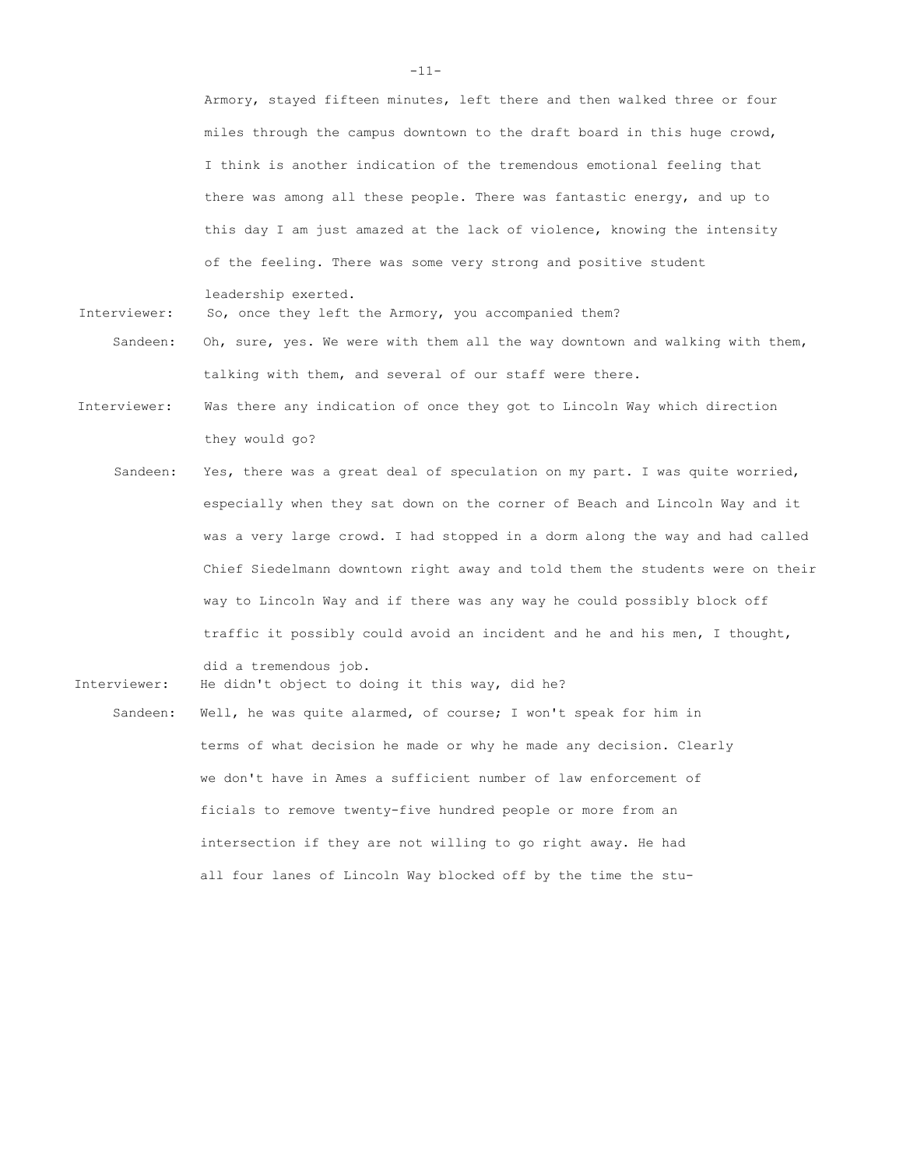Armory, stayed fifteen minutes, left there and then walked three or four miles through the campus downtown to the draft board in this huge crowd, I think is another indication of the tremendous emotional feeling that there was among all these people. There was fantastic energy, and up to this day I am just amazed at the lack of violence, knowing the intensity of the feeling. There was some very strong and positive student

leadership exerted.

Interviewer: So, once they left the Armory, you accompanied them?

- Sandeen: Oh, sure, yes. We were with them all the way downtown and walking with them, talking with them, and several of our staff were there.
- Interviewer: Was there any indication of once they got to Lincoln Way which direction they would go?
	- Sandeen: Yes, there was a great deal of speculation on my part. I was quite worried, especially when they sat down on the corner of Beach and Lincoln Way and it was a very large crowd. I had stopped in a dorm along the way and had called Chief Siedelmann downtown right away and told them the students were on their way to Lincoln Way and if there was any way he could possibly block off traffic it possibly could avoid an incident and he and his men, I thought,

Interviewer: He didn't object to doing it this way, did he?

did a tremendous job.

Sandeen: Well, he was quite alarmed, of course; I won't speak for him in terms of what decision he made or why he made any decision. Clearly we don't have in Ames a sufficient number of law enforcement of ficials to remove twenty-five hundred people or more from an intersection if they are not willing to go right away. He had all four lanes of Lincoln Way blocked off by the time the stu-

-11-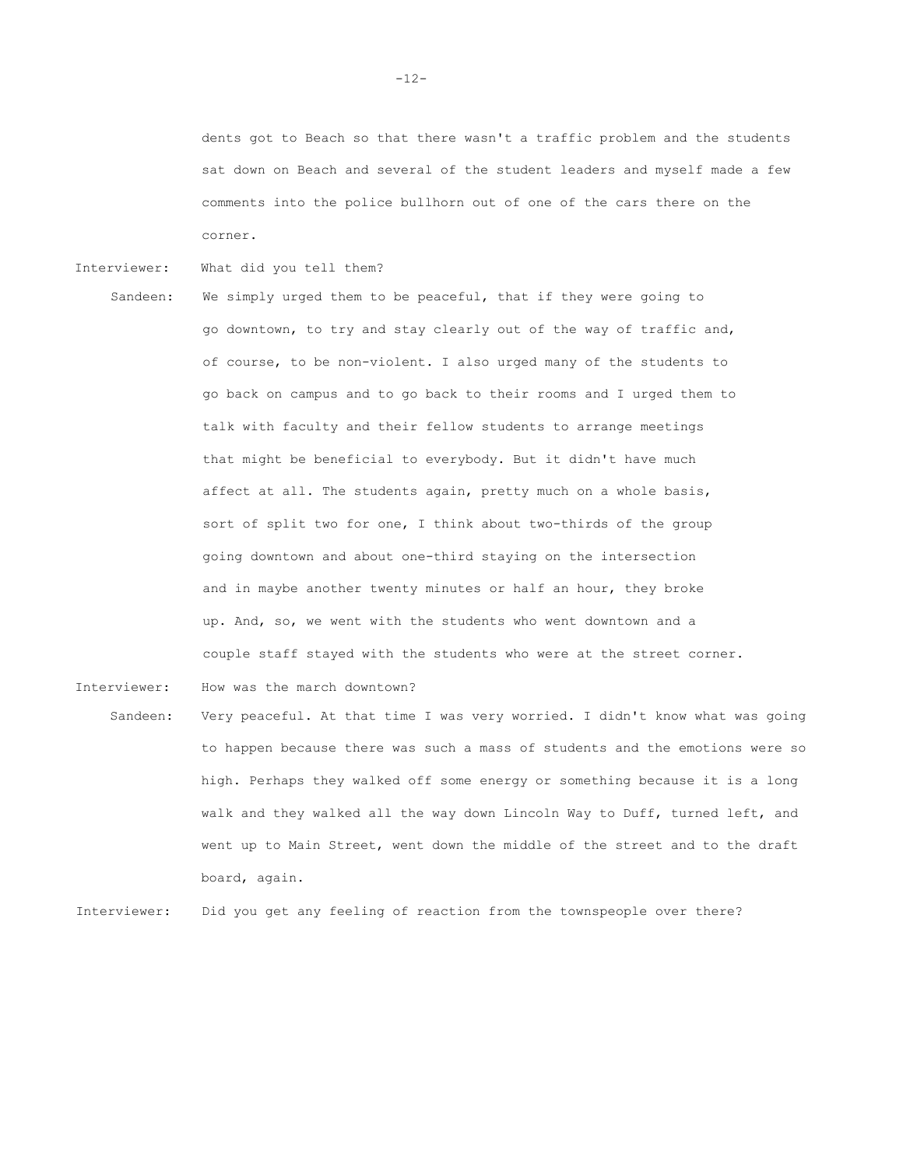dents got to Beach so that there wasn't a traffic problem and the students sat down on Beach and several of the student leaders and myself made a few comments into the police bullhorn out of one of the cars there on the corner.

- Interviewer: What did you tell them?
- Sandeen: We simply urged them to be peaceful, that if they were going to go downtown, to try and stay clearly out of the way of traffic and, of course, to be non-violent. I also urged many of the students to go back on campus and to go back to their rooms and I urged them to talk with faculty and their fellow students to arrange meetings that might be beneficial to everybody. But it didn't have much affect at all. The students again, pretty much on a whole basis, sort of split two for one, I think about two-thirds of the group going downtown and about one-third staying on the intersection and in maybe another twenty minutes or half an hour, they broke up. And, so, we went with the students who went downtown and a couple staff stayed with the students who were at the street corner.

Interviewer: How was the march downtown?

Sandeen: Very peaceful. At that time I was very worried. I didn't know what was going to happen because there was such a mass of students and the emotions were so high. Perhaps they walked off some energy or something because it is a long walk and they walked all the way down Lincoln Way to Duff, turned left, and went up to Main Street, went down the middle of the street and to the draft board, again.

Interviewer: Did you get any feeling of reaction from the townspeople over there?

-12-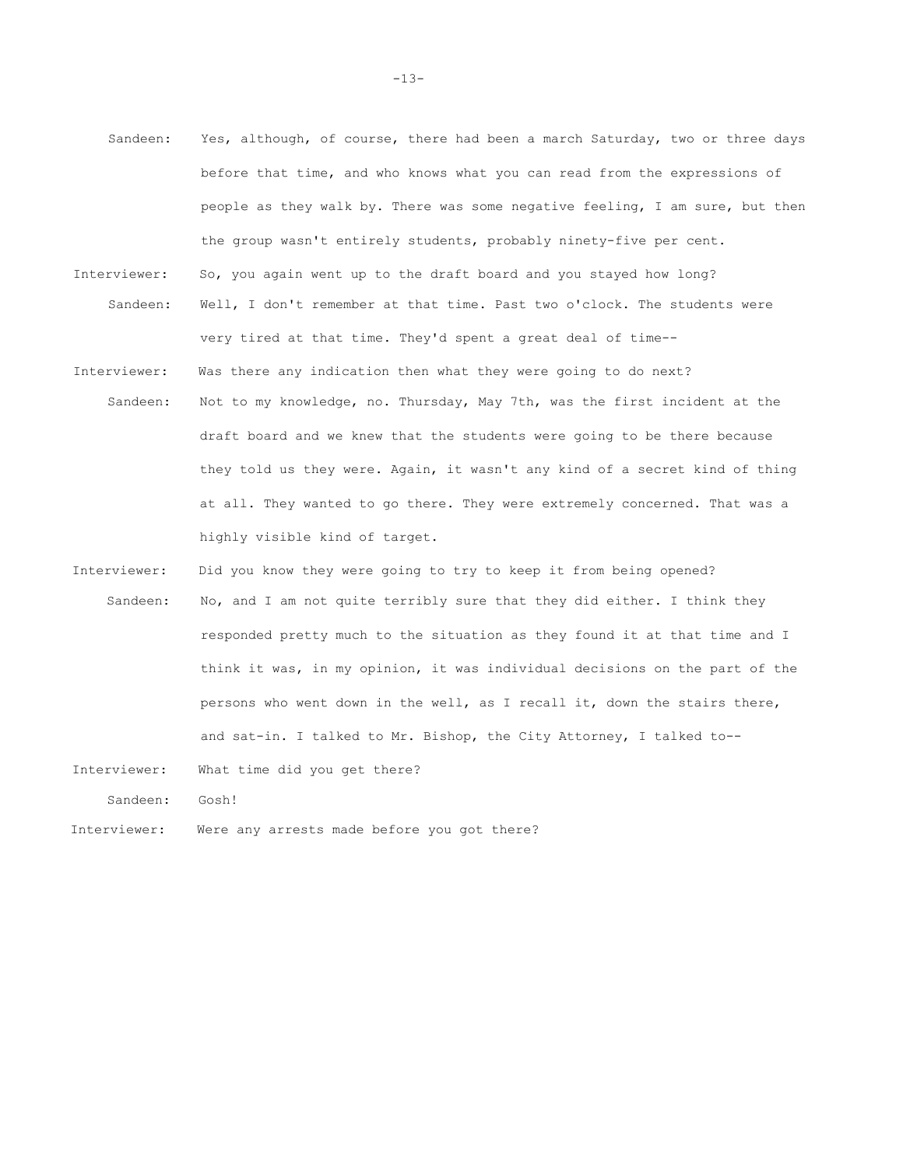- Sandeen: Yes, although, of course, there had been a march Saturday, two or three days before that time, and who knows what you can read from the expressions of people as they walk by. There was some negative feeling, I am sure, but then the group wasn't entirely students, probably ninety-five per cent. Interviewer: So, you again went up to the draft board and you stayed how long? Sandeen: Well, I don't remember at that time. Past two o'clock. The students were very tired at that time. They'd spent a great deal of time-- Interviewer: Was there any indication then what they were going to do next? Sandeen: Not to my knowledge, no. Thursday, May 7th, was the first incident at the draft board and we knew that the students were going to be there because they told us they were. Again, it wasn't any kind of a secret kind of thing at all. They wanted to go there. They were extremely concerned. That was a highly visible kind of target.
- Interviewer: Did you know they were going to try to keep it from being opened? Sandeen: No, and I am not quite terribly sure that they did either. I think they responded pretty much to the situation as they found it at that time and I think it was, in my opinion, it was individual decisions on the part of the persons who went down in the well, as I recall it, down the stairs there, and sat-in. I talked to Mr. Bishop, the City Attorney, I talked to--
- Interviewer: What time did you get there?

Sandeen: Gosh!

Interviewer: Were any arrests made before you got there?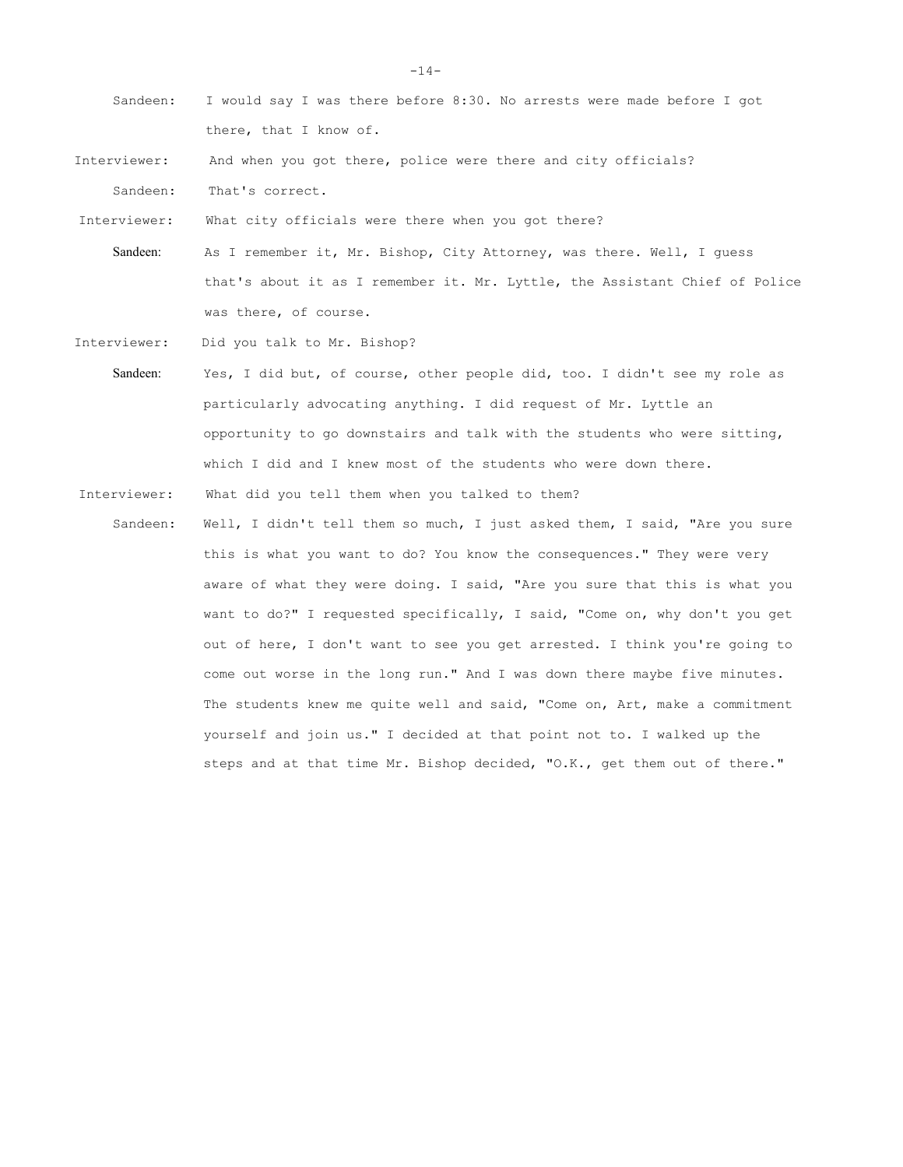| Sandeen:     | I would say I was there before 8:30. No arrests were made before I got      |
|--------------|-----------------------------------------------------------------------------|
|              | there, that I know of.                                                      |
| Interviewer: | And when you got there, police were there and city officials?               |
| Sandeen:     | That's correct.                                                             |
| Interviewer: | What city officials were there when you got there?                          |
| Sandeen:     | As I remember it, Mr. Bishop, City Attorney, was there. Well, I quess       |
|              | that's about it as I remember it. Mr. Lyttle, the Assistant Chief of Police |
|              | was there, of course.                                                       |
| Interviewer: | Did you talk to Mr. Bishop?                                                 |
| Sandeen:     | Yes, I did but, of course, other people did, too. I didn't see my role as   |
|              |                                                                             |

particularly advocating anything. I did request of Mr. Lyttle an opportunity to go downstairs and talk with the students who were sitting, which I did and I knew most of the students who were down there.

Interviewer: What did you tell them when you talked to them?

Sandeen: Well, I didn't tell them so much, I just asked them, I said, "Are you sure this is what you want to do? You know the consequences." They were very aware of what they were doing. I said, "Are you sure that this is what you want to do?" I requested specifically, I said, "Come on, why don't you get out of here, I don't want to see you get arrested. I think you're going to come out worse in the long run." And I was down there maybe five minutes. The students knew me quite well and said, "Come on, Art, make a commitment yourself and join us." I decided at that point not to. I walked up the steps and at that time Mr. Bishop decided, "O.K., get them out of there."

 $-14-$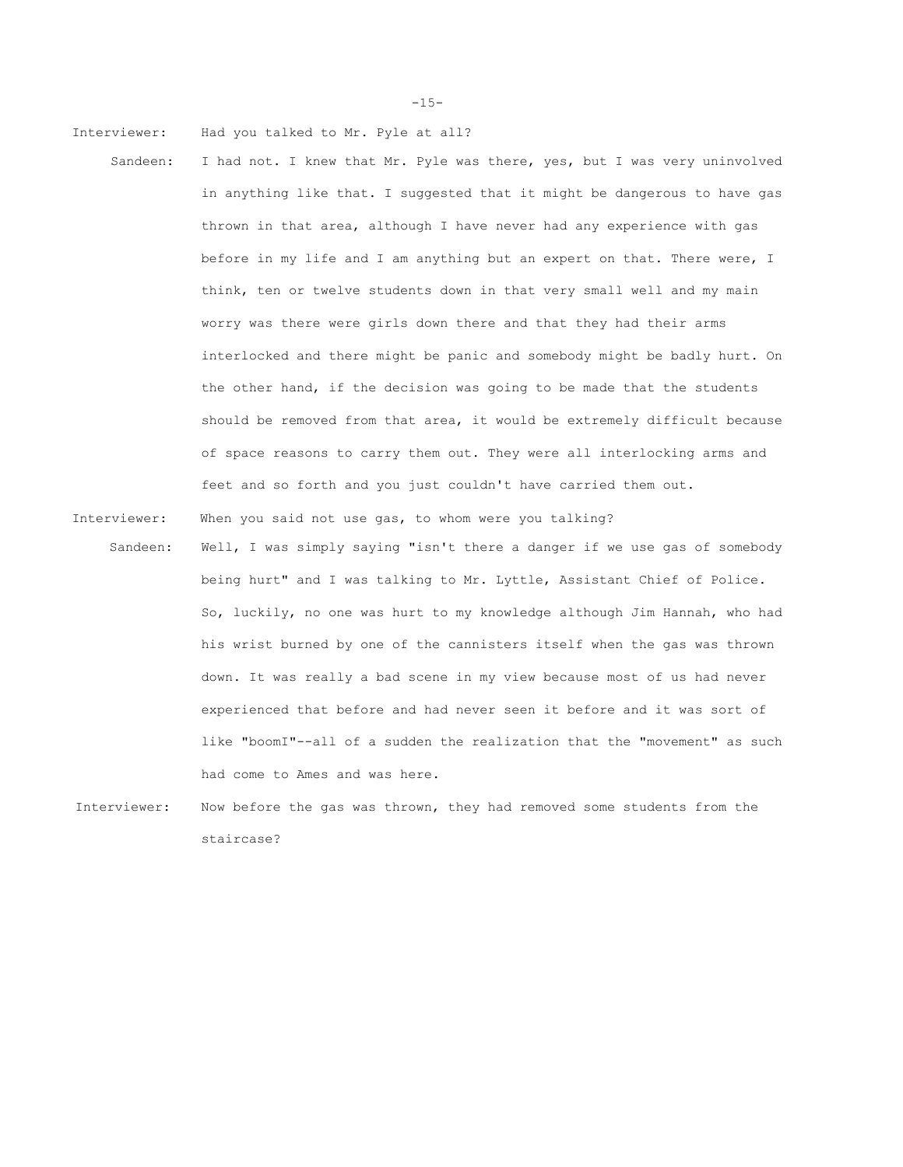Interviewer: Had you talked to Mr. Pyle at all?

- Sandeen: I had not. I knew that Mr. Pyle was there, yes, but I was very uninvolved in anything like that. I suggested that it might be dangerous to have gas thrown in that area, although I have never had any experience with gas before in my life and I am anything but an expert on that. There were, I think, ten or twelve students down in that very small well and my main worry was there were girls down there and that they had their arms interlocked and there might be panic and somebody might be badly hurt. On the other hand, if the decision was going to be made that the students should be removed from that area, it would be extremely difficult because of space reasons to carry them out. They were all interlocking arms and feet and so forth and you just couldn't have carried them out.
- Interviewer: When you said not use gas, to whom were you talking?
- Sandeen: Well, I was simply saying "isn't there a danger if we use gas of somebody being hurt" and I was talking to Mr. Lyttle, Assistant Chief of Police. So, luckily, no one was hurt to my knowledge although Jim Hannah, who had his wrist burned by one of the cannisters itself when the gas was thrown down. It was really a bad scene in my view because most of us had never experienced that before and had never seen it before and it was sort of like "boomI"--all of a sudden the realization that the "movement" as such had come to Ames and was here.
- Interviewer: Now before the gas was thrown, they had removed some students from the staircase?

-15-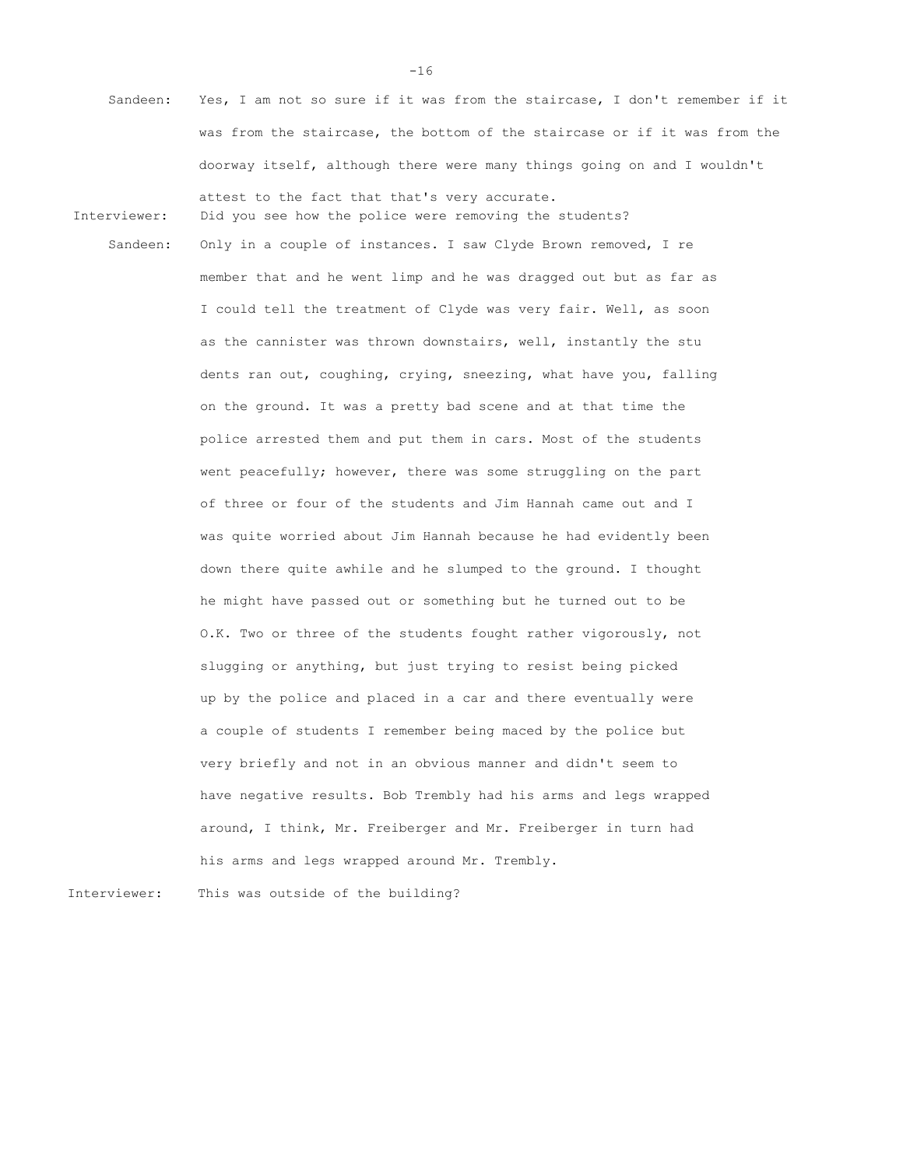Sandeen: Yes, I am not so sure if it was from the staircase, I don't remember if it was from the staircase, the bottom of the staircase or if it was from the doorway itself, although there were many things going on and I wouldn't

Interviewer: Did you see how the police were removing the students?

attest to the fact that that's very accurate.

Sandeen: Only in a couple of instances. I saw Clyde Brown removed, I re member that and he went limp and he was dragged out but as far as I could tell the treatment of Clyde was very fair. Well, as soon as the cannister was thrown downstairs, well, instantly the stu dents ran out, coughing, crying, sneezing, what have you, falling on the ground. It was a pretty bad scene and at that time the police arrested them and put them in cars. Most of the students went peacefully; however, there was some struggling on the part of three or four of the students and Jim Hannah came out and I was quite worried about Jim Hannah because he had evidently been down there quite awhile and he slumped to the ground. I thought he might have passed out or something but he turned out to be O.K. Two or three of the students fought rather vigorously, not slugging or anything, but just trying to resist being picked up by the police and placed in a car and there eventually were a couple of students I remember being maced by the police but very briefly and not in an obvious manner and didn't seem to have negative results. Bob Trembly had his arms and legs wrapped around, I think, Mr. Freiberger and Mr. Freiberger in turn had his arms and legs wrapped around Mr. Trembly.

Interviewer: This was outside of the building?

-16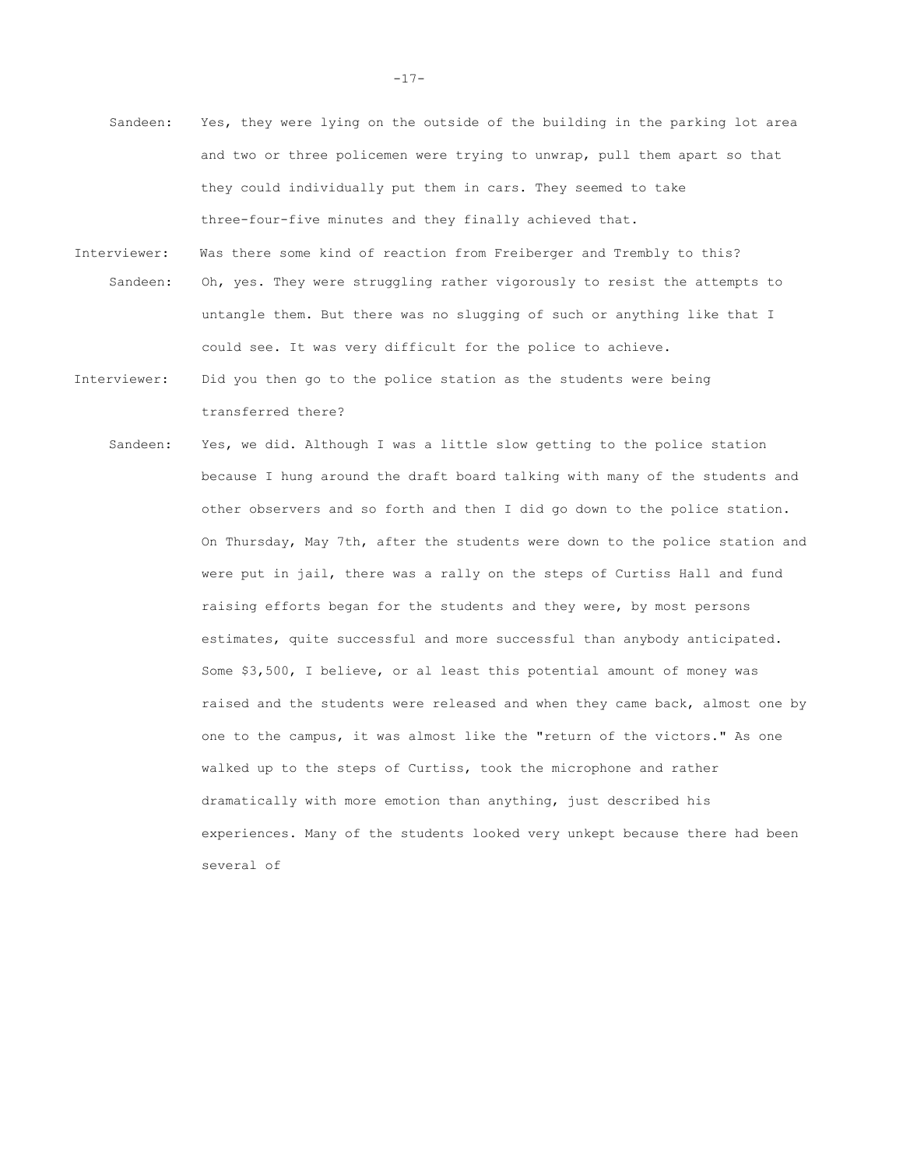- Sandeen: Yes, they were lying on the outside of the building in the parking lot area and two or three policemen were trying to unwrap, pull them apart so that they could individually put them in cars. They seemed to take three-four-five minutes and they finally achieved that.
- Interviewer: Was there some kind of reaction from Freiberger and Trembly to this? Sandeen: Oh, yes. They were struggling rather vigorously to resist the attempts to untangle them. But there was no slugging of such or anything like that I could see. It was very difficult for the police to achieve.
- Interviewer: Did you then go to the police station as the students were being transferred there?
	- Sandeen: Yes, we did. Although I was a little slow getting to the police station because I hung around the draft board talking with many of the students and other observers and so forth and then I did go down to the police station. On Thursday, May 7th, after the students were down to the police station and were put in jail, there was a rally on the steps of Curtiss Hall and fund raising efforts began for the students and they were, by most persons estimates, quite successful and more successful than anybody anticipated. Some \$3,500, I believe, or al least this potential amount of money was raised and the students were released and when they came back, almost one by one to the campus, it was almost like the "return of the victors." As one walked up to the steps of Curtiss, took the microphone and rather dramatically with more emotion than anything, just described his experiences. Many of the students looked very unkept because there had been several of

-17-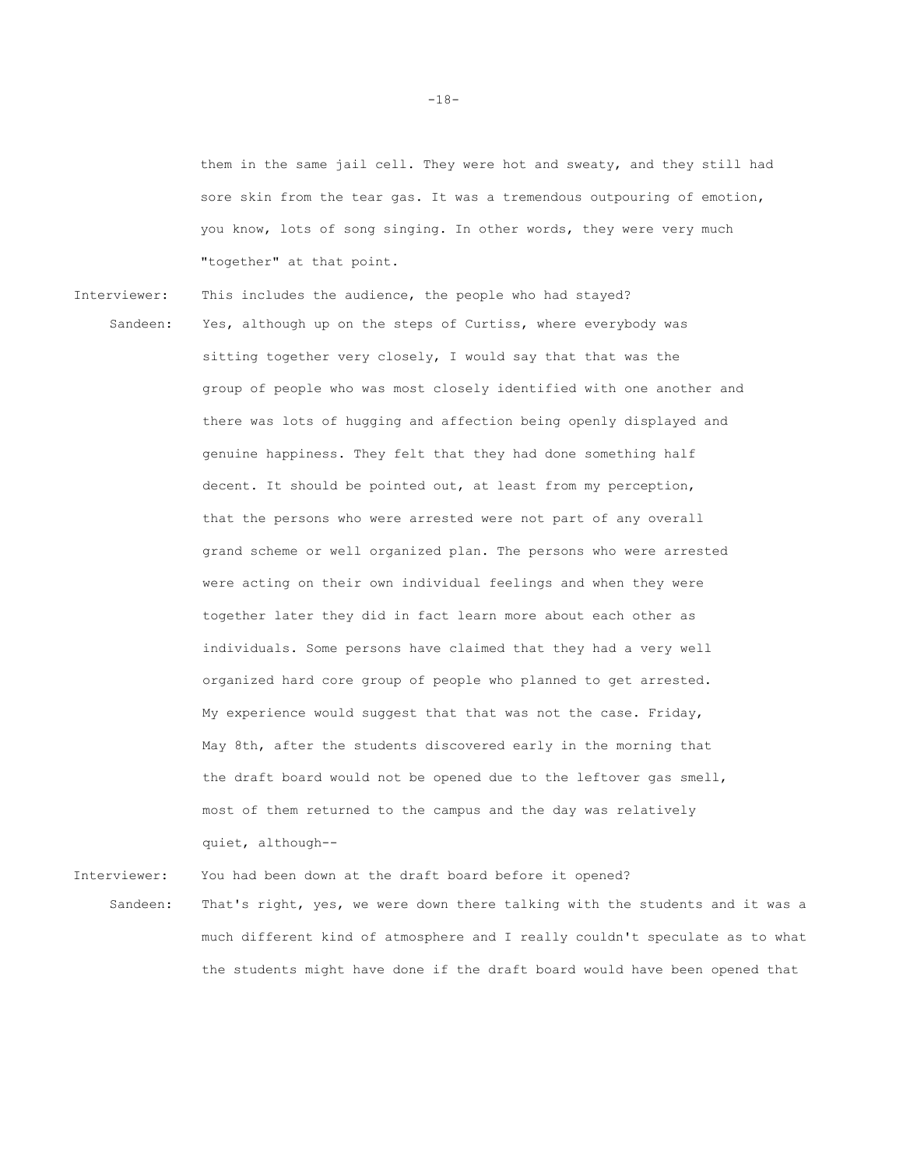them in the same jail cell. They were hot and sweaty, and they still had sore skin from the tear gas. It was a tremendous outpouring of emotion, you know, lots of song singing. In other words, they were very much "together" at that point.

Interviewer: This includes the audience, the people who had stayed? Sandeen: Yes, although up on the steps of Curtiss, where everybody was sitting together very closely, I would say that that was the group of people who was most closely identified with one another and there was lots of hugging and affection being openly displayed and genuine happiness. They felt that they had done something half decent. It should be pointed out, at least from my perception, that the persons who were arrested were not part of any overall grand scheme or well organized plan. The persons who were arrested were acting on their own individual feelings and when they were together later they did in fact learn more about each other as individuals. Some persons have claimed that they had a very well organized hard core group of people who planned to get arrested. My experience would suggest that that was not the case. Friday, May 8th, after the students discovered early in the morning that the draft board would not be opened due to the leftover gas smell, most of them returned to the campus and the day was relatively quiet, although--

Interviewer: You had been down at the draft board before it opened?

Sandeen: That's right, yes, we were down there talking with the students and it was a much different kind of atmosphere and I really couldn't speculate as to what the students might have done if the draft board would have been opened that

-18-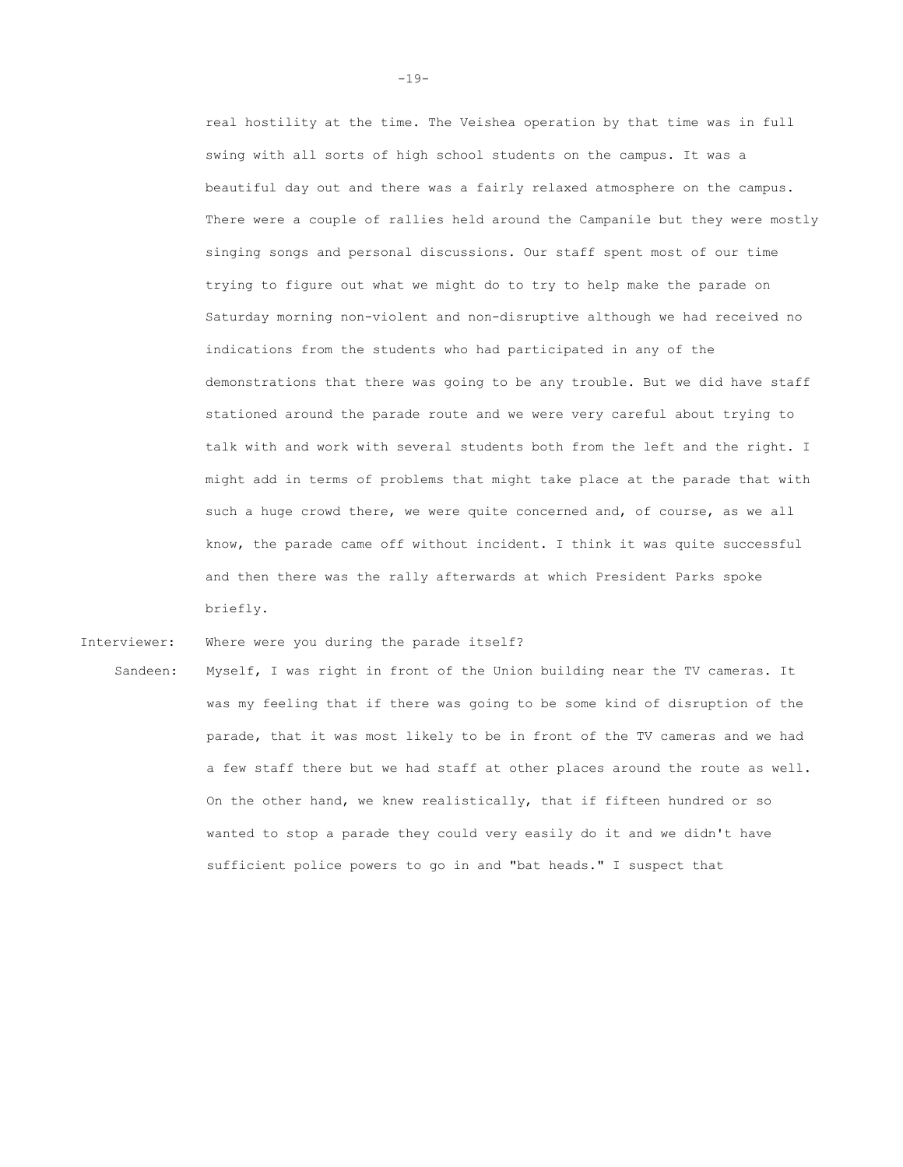real hostility at the time. The Veishea operation by that time was in full swing with all sorts of high school students on the campus. It was a beautiful day out and there was a fairly relaxed atmosphere on the campus. There were a couple of rallies held around the Campanile but they were mostly singing songs and personal discussions. Our staff spent most of our time trying to figure out what we might do to try to help make the parade on Saturday morning non-violent and non-disruptive although we had received no indications from the students who had participated in any of the demonstrations that there was going to be any trouble. But we did have staff stationed around the parade route and we were very careful about trying to talk with and work with several students both from the left and the right. I might add in terms of problems that might take place at the parade that with such a huge crowd there, we were quite concerned and, of course, as we all know, the parade came off without incident. I think it was quite successful and then there was the rally afterwards at which President Parks spoke briefly.

Interviewer: Where were you during the parade itself?

Sandeen: Myself, I was right in front of the Union building near the TV cameras. It was my feeling that if there was going to be some kind of disruption of the parade, that it was most likely to be in front of the TV cameras and we had a few staff there but we had staff at other places around the route as well. On the other hand, we knew realistically, that if fifteen hundred or so wanted to stop a parade they could very easily do it and we didn't have sufficient police powers to go in and "bat heads." I suspect that

-19-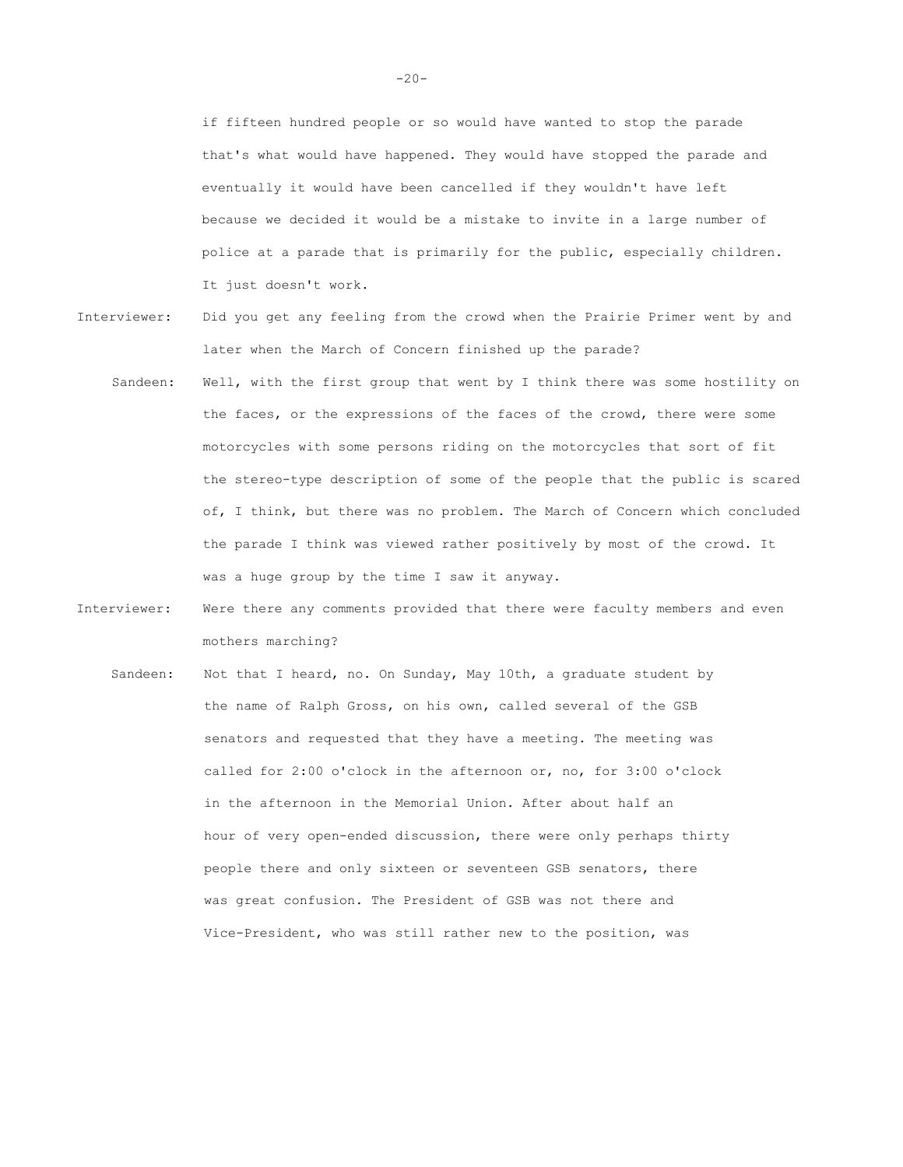if fifteen hundred people or so would have wanted to stop the parade that's what would have happened. They would have stopped the parade and eventually it would have been cancelled if they wouldn't have left because we decided it would be a mistake to invite in a large number of police at a parade that is primarily for the public, especially children. It just doesn't work.

- Interviewer: Did you get any feeling from the crowd when the Prairie Primer went by and later when the March of Concern finished up the parade?
	- Sandeen: Well, with the first group that went by I think there was some hostility on the faces, or the expressions of the faces of the crowd, there were some motorcycles with some persons riding on the motorcycles that sort of fit the stereo-type description of some of the people that the public is scared of, I think, but there was no problem. The March of Concern which concluded the parade I think was viewed rather positively by most of the crowd. It was a huge group by the time I saw it anyway.
- Interviewer: Were there any comments provided that there were faculty members and even mothers marching?
	- Sandeen: Not that I heard, no. On Sunday, May 10th, a graduate student by the name of Ralph Gross, on his own, called several of the GSB senators and requested that they have a meeting. The meeting was called for 2:00 o'clock in the afternoon or, no, for 3:00 o'clock in the afternoon in the Memorial Union. After about half an hour of very open-ended discussion, there were only perhaps thirty people there and only sixteen or seventeen GSB senators, there was great confusion. The President of GSB was not there and Vice-President, who was still rather new to the position, was

 $-20-$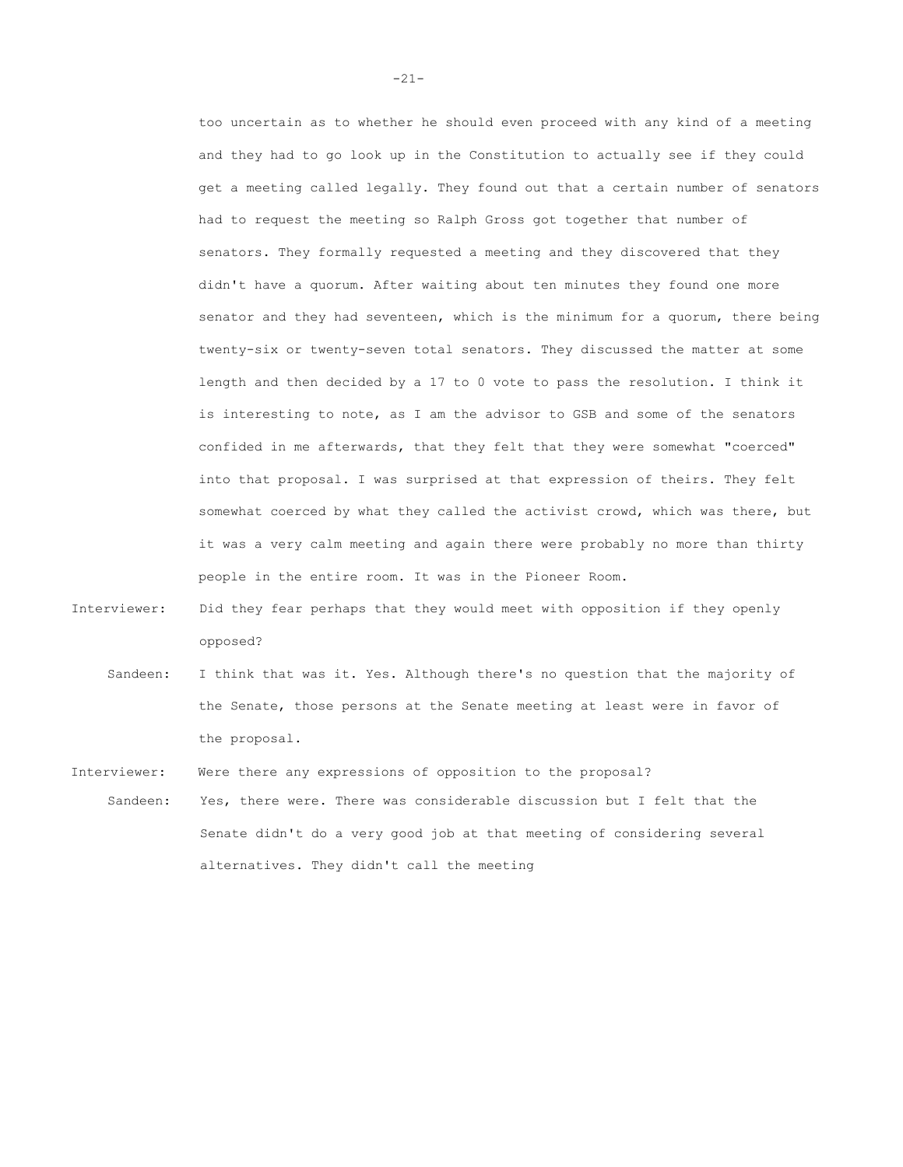too uncertain as to whether he should even proceed with any kind of a meeting and they had to go look up in the Constitution to actually see if they could get a meeting called legally. They found out that a certain number of senators had to request the meeting so Ralph Gross got together that number of senators. They formally requested a meeting and they discovered that they didn't have a quorum. After waiting about ten minutes they found one more senator and they had seventeen, which is the minimum for a quorum, there being twenty-six or twenty-seven total senators. They discussed the matter at some length and then decided by a 17 to 0 vote to pass the resolution. I think it is interesting to note, as I am the advisor to GSB and some of the senators confided in me afterwards, that they felt that they were somewhat "coerced" into that proposal. I was surprised at that expression of theirs. They felt somewhat coerced by what they called the activist crowd, which was there, but it was a very calm meeting and again there were probably no more than thirty people in the entire room. It was in the Pioneer Room.

- Interviewer: Did they fear perhaps that they would meet with opposition if they openly opposed?
	- Sandeen: I think that was it. Yes. Although there's no question that the majority of the Senate, those persons at the Senate meeting at least were in favor of the proposal.

Interviewer: Were there any expressions of opposition to the proposal?

Sandeen: Yes, there were. There was considerable discussion but I felt that the Senate didn't do a very good job at that meeting of considering several alternatives. They didn't call the meeting

-21-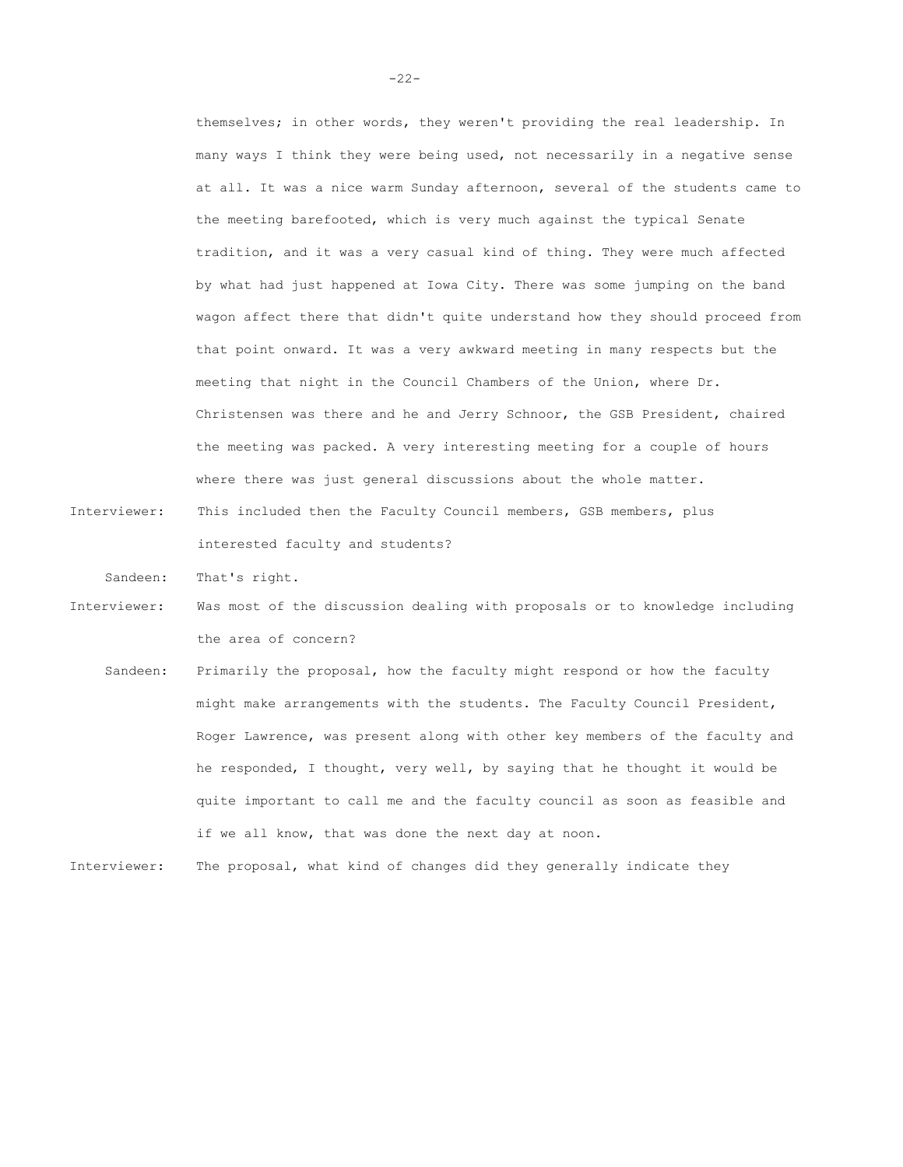themselves; in other words, they weren't providing the real leadership. In many ways I think they were being used, not necessarily in a negative sense at all. It was a nice warm Sunday afternoon, several of the students came to the meeting barefooted, which is very much against the typical Senate tradition, and it was a very casual kind of thing. They were much affected by what had just happened at Iowa City. There was some jumping on the band wagon affect there that didn't quite understand how they should proceed from that point onward. It was a very awkward meeting in many respects but the meeting that night in the Council Chambers of the Union, where Dr. Christensen was there and he and Jerry Schnoor, the GSB President, chaired the meeting was packed. A very interesting meeting for a couple of hours where there was just general discussions about the whole matter.

Interviewer: This included then the Faculty Council members, GSB members, plus interested faculty and students?

Sandeen: That's right.

- Interviewer: Was most of the discussion dealing with proposals or to knowledge including the area of concern?
	- Sandeen: Primarily the proposal, how the faculty might respond or how the faculty might make arrangements with the students. The Faculty Council President, Roger Lawrence, was present along with other key members of the faculty and he responded, I thought, very well, by saying that he thought it would be quite important to call me and the faculty council as soon as feasible and if we all know, that was done the next day at noon.

Interviewer: The proposal, what kind of changes did they generally indicate they

-22-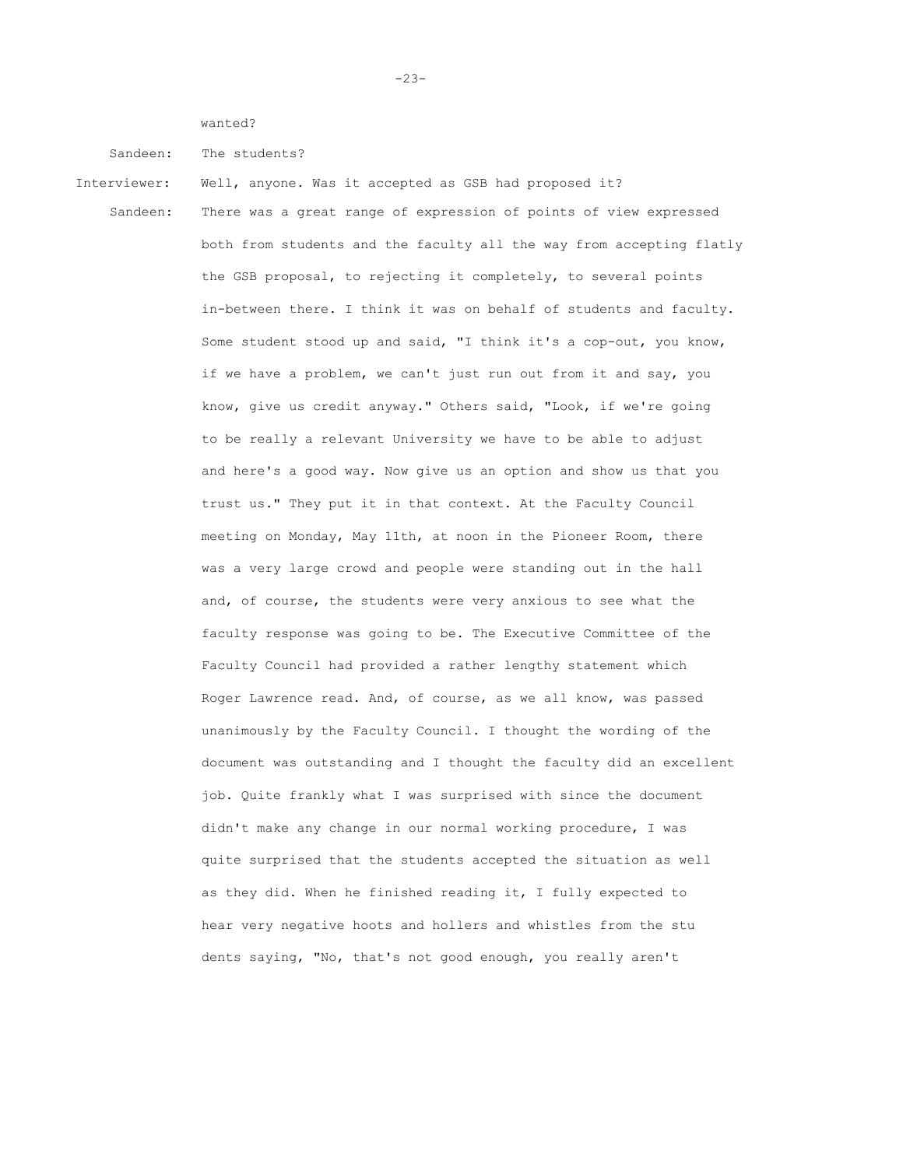wanted?

Sandeen: The students?

Interviewer: Well, anyone. Was it accepted as GSB had proposed it?

Sandeen: There was a great range of expression of points of view expressed both from students and the faculty all the way from accepting flatly the GSB proposal, to rejecting it completely, to several points in-between there. I think it was on behalf of students and faculty. Some student stood up and said, "I think it's a cop-out, you know, if we have a problem, we can't just run out from it and say, you know, give us credit anyway." Others said, "Look, if we're going to be really a relevant University we have to be able to adjust and here's a good way. Now give us an option and show us that you trust us." They put it in that context. At the Faculty Council meeting on Monday, May 11th, at noon in the Pioneer Room, there was a very large crowd and people were standing out in the hall and, of course, the students were very anxious to see what the faculty response was going to be. The Executive Committee of the Faculty Council had provided a rather lengthy statement which Roger Lawrence read. And, of course, as we all know, was passed unanimously by the Faculty Council. I thought the wording of the document was outstanding and I thought the faculty did an excellent job. Quite frankly what I was surprised with since the document didn't make any change in our normal working procedure, I was quite surprised that the students accepted the situation as well as they did. When he finished reading it, I fully expected to hear very negative hoots and hollers and whistles from the stu dents saying, "No, that's not good enough, you really aren't

-23-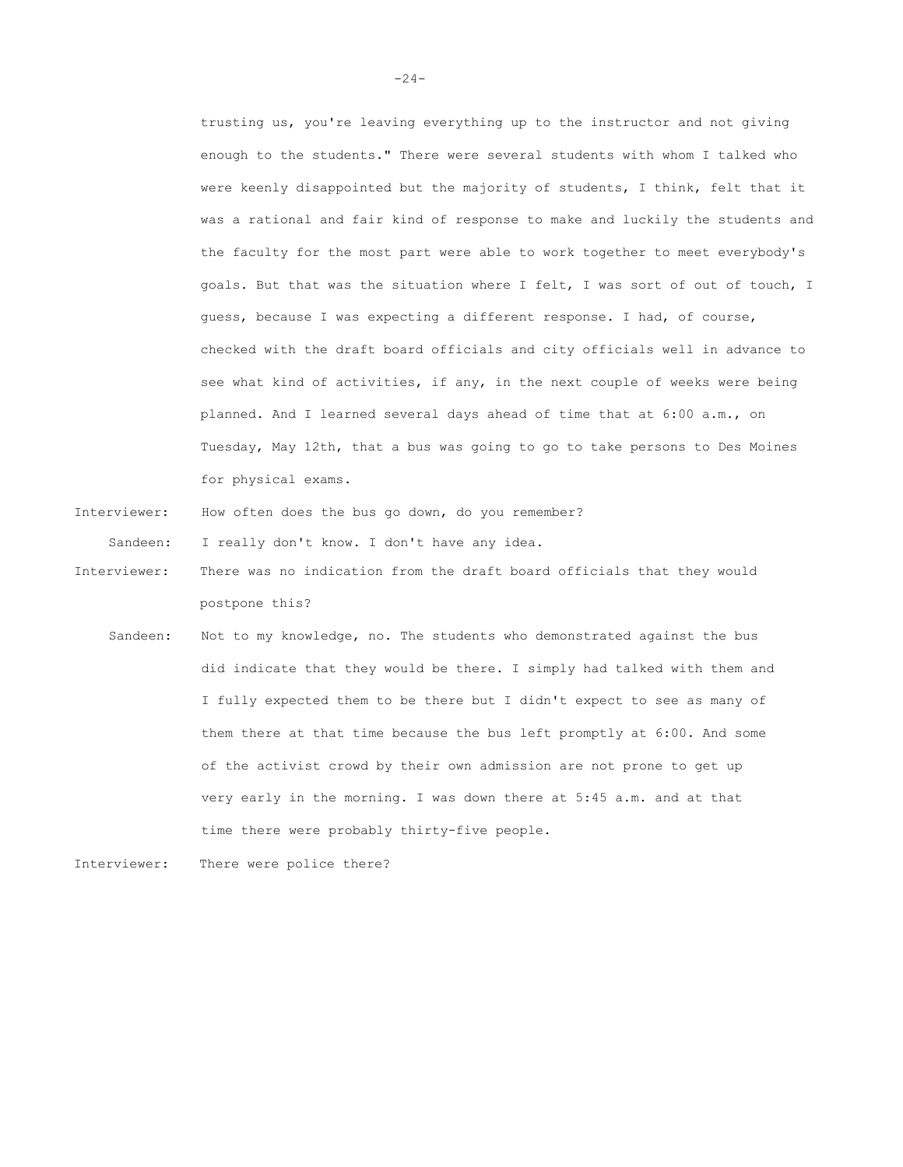trusting us, you're leaving everything up to the instructor and not giving enough to the students." There were several students with whom I talked who were keenly disappointed but the majority of students, I think, felt that it was a rational and fair kind of response to make and luckily the students and the faculty for the most part were able to work together to meet everybody's goals. But that was the situation where I felt, I was sort of out of touch, I guess, because I was expecting a different response. I had, of course, checked with the draft board officials and city officials well in advance to see what kind of activities, if any, in the next couple of weeks were being planned. And I learned several days ahead of time that at 6:00 a.m., on Tuesday, May 12th, that a bus was going to go to take persons to Des Moines for physical exams.

Interviewer: How often does the bus go down, do you remember?

Sandeen: I really don't know. I don't have any idea.

- Interviewer: There was no indication from the draft board officials that they would postpone this?
	- Sandeen: Not to my knowledge, no. The students who demonstrated against the bus did indicate that they would be there. I simply had talked with them and I fully expected them to be there but I didn't expect to see as many of them there at that time because the bus left promptly at 6:00. And some of the activist crowd by their own admission are not prone to get up very early in the morning. I was down there at 5:45 a.m. and at that time there were probably thirty-five people.
- Interviewer: There were police there?

 $-24-$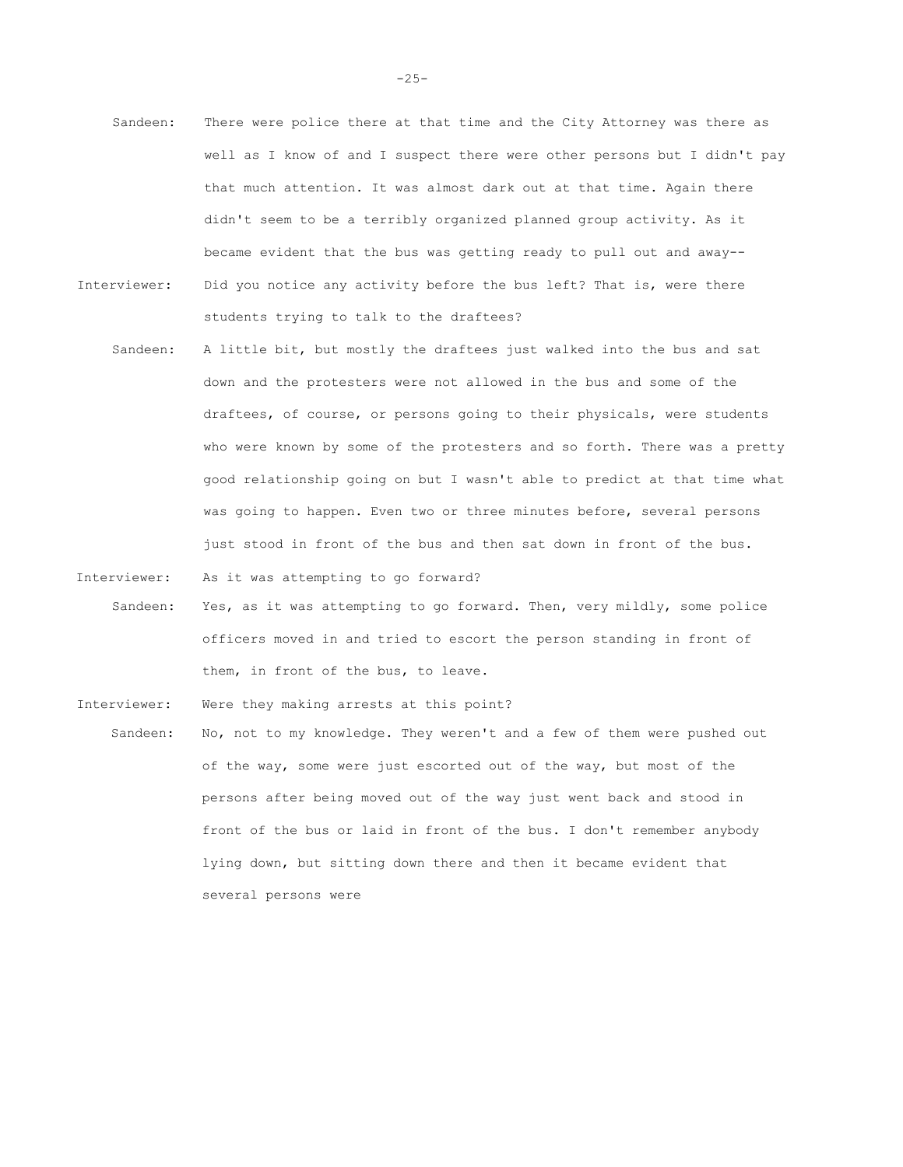- Sandeen: There were police there at that time and the City Attorney was there as well as I know of and I suspect there were other persons but I didn't pay that much attention. It was almost dark out at that time. Again there didn't seem to be a terribly organized planned group activity. As it became evident that the bus was getting ready to pull out and away-- Interviewer: Did you notice any activity before the bus left? That is, were there students trying to talk to the draftees?
	- Sandeen: A little bit, but mostly the draftees just walked into the bus and sat down and the protesters were not allowed in the bus and some of the draftees, of course, or persons going to their physicals, were students who were known by some of the protesters and so forth. There was a pretty good relationship going on but I wasn't able to predict at that time what was going to happen. Even two or three minutes before, several persons just stood in front of the bus and then sat down in front of the bus.
- Interviewer: As it was attempting to go forward?
	- Sandeen: Yes, as it was attempting to go forward. Then, very mildly, some police officers moved in and tried to escort the person standing in front of them, in front of the bus, to leave.
- Interviewer: Were they making arrests at this point?
	- Sandeen: No, not to my knowledge. They weren't and a few of them were pushed out of the way, some were just escorted out of the way, but most of the persons after being moved out of the way just went back and stood in front of the bus or laid in front of the bus. I don't remember anybody lying down, but sitting down there and then it became evident that several persons were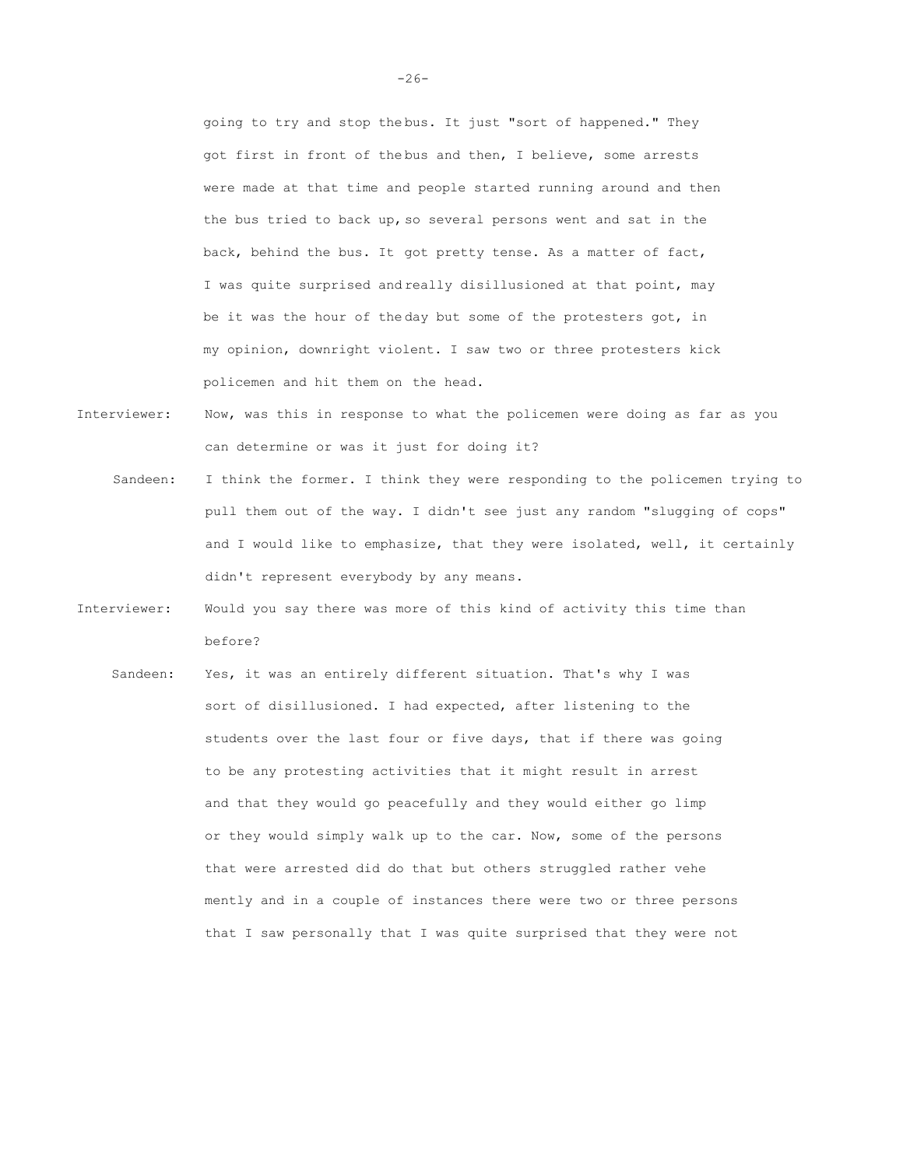going to try and stop the bus. It just "sort of happened." They got first in front of the bus and then, I believe, some arrests were made at that time and people started running around and then the bus tried to back up, so several persons went and sat in the back, behind the bus. It got pretty tense. As a matter of fact, I was quite surprised and really disillusioned at that point, may be it was the hour of the day but some of the protesters got, in my opinion, downright violent. I saw two or three protesters kick policemen and hit them on the head.

- Interviewer: Now, was this in response to what the policemen were doing as far as you can determine or was it just for doing it?
	- Sandeen: I think the former. I think they were responding to the policemen trying to pull them out of the way. I didn't see just any random "slugging of cops" and I would like to emphasize, that they were isolated, well, it certainly didn't represent everybody by any means.
- Interviewer: Would you say there was more of this kind of activity this time than before?
	- Sandeen: Yes, it was an entirely different situation. That's why I was sort of disillusioned. I had expected, after listening to the students over the last four or five days, that if there was going to be any protesting activities that it might result in arrest and that they would go peacefully and they would either go limp or they would simply walk up to the car. Now, some of the persons that were arrested did do that but others struggled rather vehe mently and in a couple of instances there were two or three persons that I saw personally that I was quite surprised that they were not

 $-26-$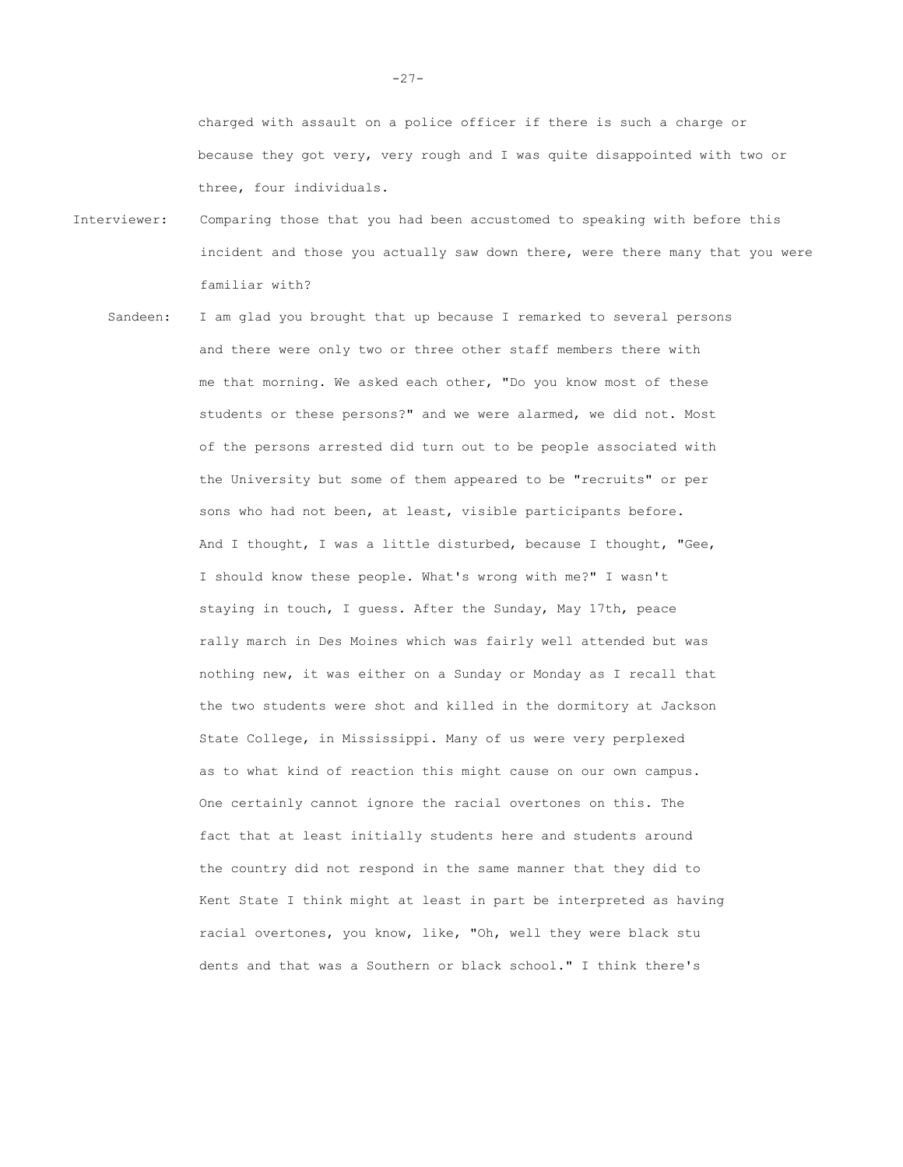charged with assault on a police officer if there is such a charge or because they got very, very rough and I was quite disappointed with two or three, four individuals.

- Interviewer: Comparing those that you had been accustomed to speaking with before this incident and those you actually saw down there, were there many that you were familiar with?
	- Sandeen: I am glad you brought that up because I remarked to several persons and there were only two or three other staff members there with me that morning. We asked each other, "Do you know most of these students or these persons?" and we were alarmed, we did not. Most of the persons arrested did turn out to be people associated with the University but some of them appeared to be "recruits" or per sons who had not been, at least, visible participants before. And I thought, I was a little disturbed, because I thought, "Gee, I should know these people. What's wrong with me?" I wasn't staying in touch, I guess. After the Sunday, May 17th, peace rally march in Des Moines which was fairly well attended but was nothing new, it was either on a Sunday or Monday as I recall that the two students were shot and killed in the dormitory at Jackson State College, in Mississippi. Many of us were very perplexed as to what kind of reaction this might cause on our own campus. One certainly cannot ignore the racial overtones on this. The fact that at least initially students here and students around the country did not respond in the same manner that they did to Kent State I think might at least in part be interpreted as having racial overtones, you know, like, "Oh, well they were black stu dents and that was a Southern or black school." I think there's

-27-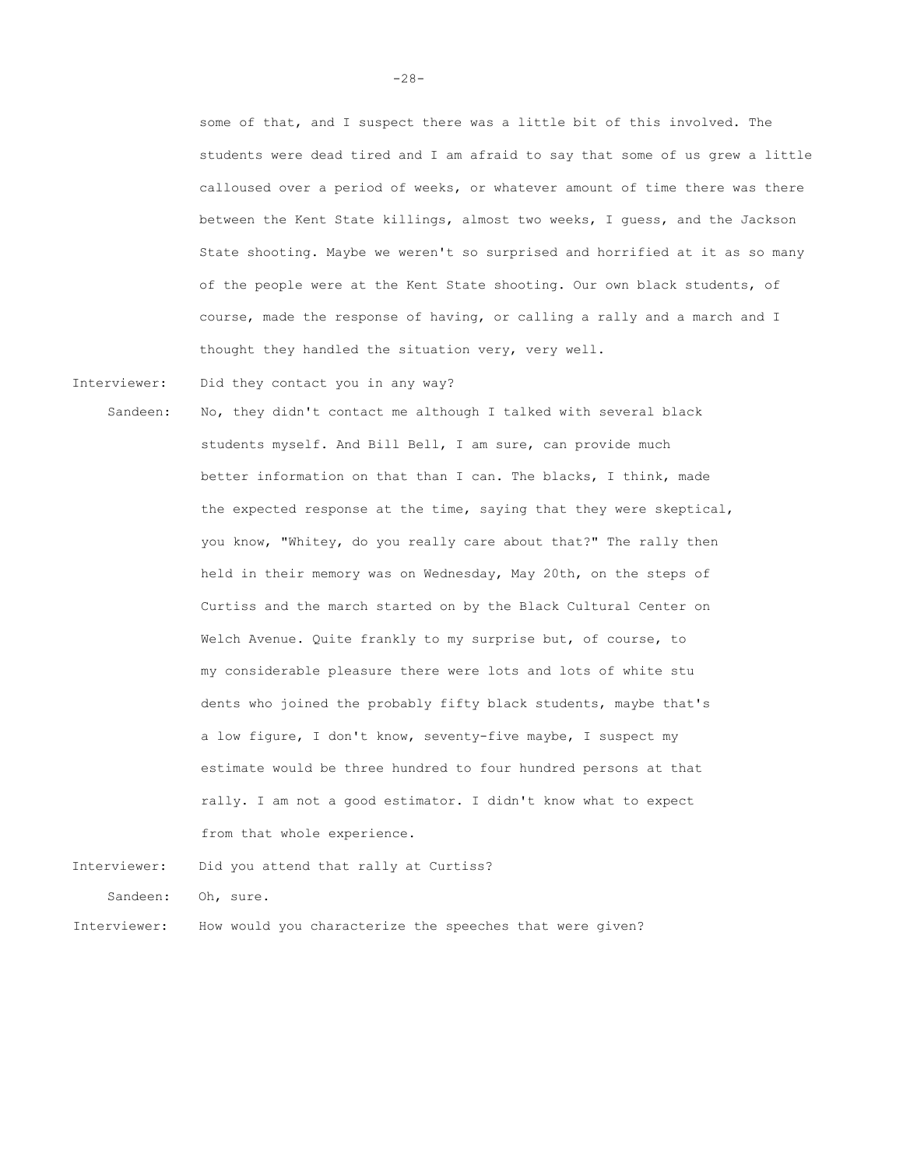some of that, and I suspect there was a little bit of this involved. The students were dead tired and I am afraid to say that some of us grew a little calloused over a period of weeks, or whatever amount of time there was there between the Kent State killings, almost two weeks, I guess, and the Jackson State shooting. Maybe we weren't so surprised and horrified at it as so many of the people were at the Kent State shooting. Our own black students, of course, made the response of having, or calling a rally and a march and I thought they handled the situation very, very well.

Interviewer: Did they contact you in any way?

Sandeen: No, they didn't contact me although I talked with several black students myself. And Bill Bell, I am sure, can provide much better information on that than I can. The blacks, I think, made the expected response at the time, saying that they were skeptical, you know, "Whitey, do you really care about that?" The rally then held in their memory was on Wednesday, May 20th, on the steps of Curtiss and the march started on by the Black Cultural Center on Welch Avenue. Quite frankly to my surprise but, of course, to my considerable pleasure there were lots and lots of white stu dents who joined the probably fifty black students, maybe that's a low figure, I don't know, seventy-five maybe, I suspect my estimate would be three hundred to four hundred persons at that rally. I am not a good estimator. I didn't know what to expect from that whole experience.

Interviewer: Did you attend that rally at Curtiss? Sandeen: Oh, sure. Interviewer: How would you characterize the speeches that were given?

-28-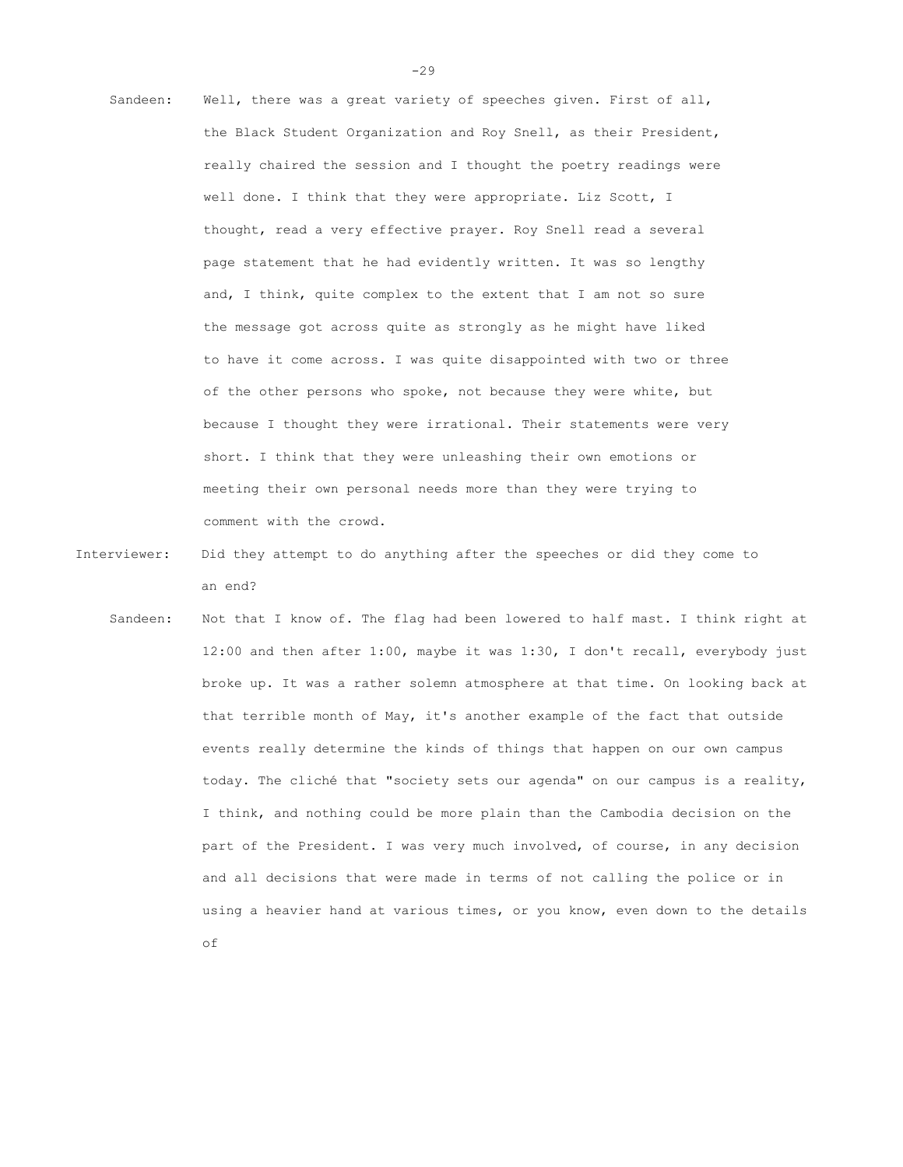- Sandeen: Well, there was a great variety of speeches given. First of all, the Black Student Organization and Roy Snell, as their President, really chaired the session and I thought the poetry readings were well done. I think that they were appropriate. Liz Scott, I thought, read a very effective prayer. Roy Snell read a several page statement that he had evidently written. It was so lengthy and, I think, quite complex to the extent that I am not so sure the message got across quite as strongly as he might have liked to have it come across. I was quite disappointed with two or three of the other persons who spoke, not because they were white, but because I thought they were irrational. Their statements were very short. I think that they were unleashing their own emotions or meeting their own personal needs more than they were trying to comment with the crowd.
- Interviewer: Did they attempt to do anything after the speeches or did they come to an end?
	- Sandeen: Not that I know of. The flag had been lowered to half mast. I think right at 12:00 and then after 1:00, maybe it was 1:30, I don't recall, everybody just broke up. It was a rather solemn atmosphere at that time. On looking back at that terrible month of May, it's another example of the fact that outside events really determine the kinds of things that happen on our own campus today. The cliché that "society sets our agenda" on our campus is a reality, I think, and nothing could be more plain than the Cambodia decision on the part of the President. I was very much involved, of course, in any decision and all decisions that were made in terms of not calling the police or in using a heavier hand at various times, or you know, even down to the details of

-29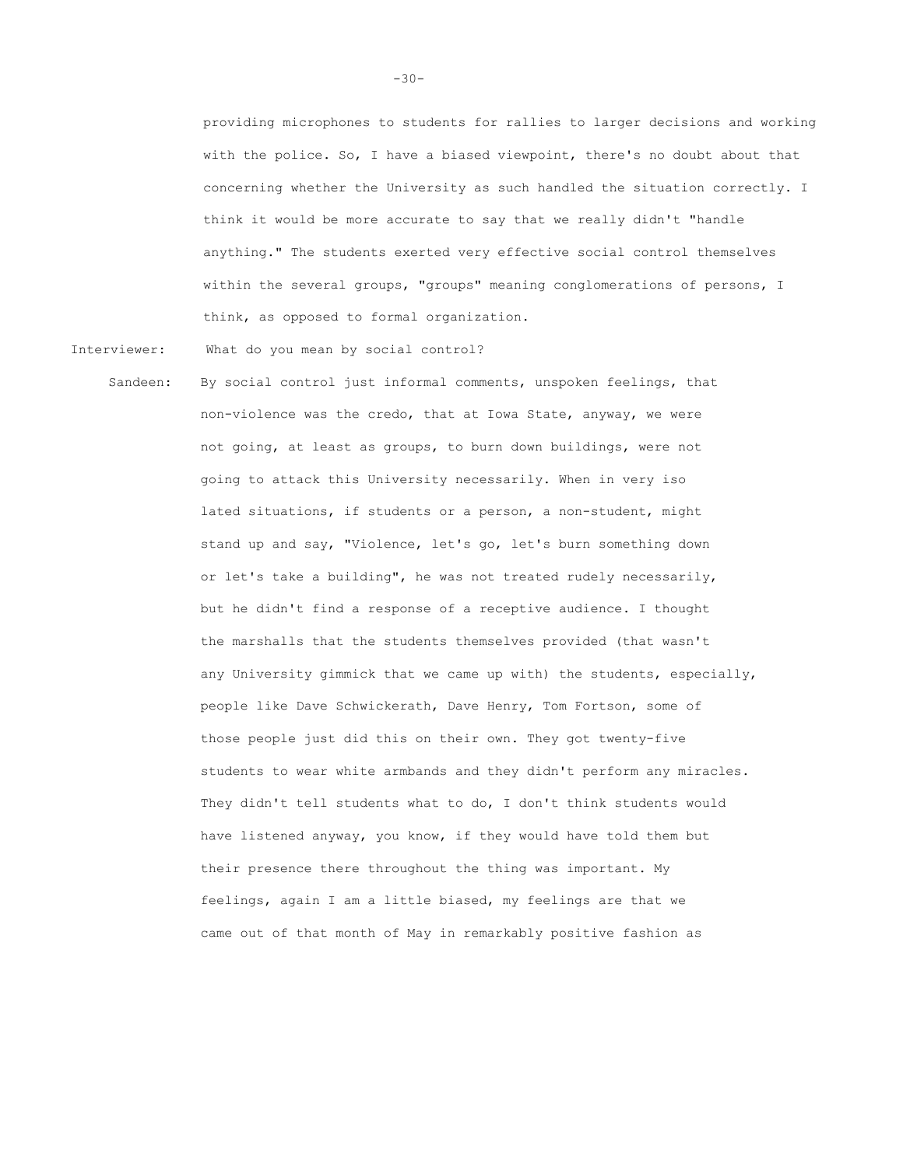providing microphones to students for rallies to larger decisions and working with the police. So, I have a biased viewpoint, there's no doubt about that concerning whether the University as such handled the situation correctly. I think it would be more accurate to say that we really didn't "handle anything." The students exerted very effective social control themselves within the several groups, "groups" meaning conglomerations of persons, I think, as opposed to formal organization.

Interviewer: What do you mean by social control?

Sandeen: By social control just informal comments, unspoken feelings, that non-violence was the credo, that at Iowa State, anyway, we were not going, at least as groups, to burn down buildings, were not going to attack this University necessarily. When in very iso lated situations, if students or a person, a non-student, might stand up and say, "Violence, let's go, let's burn something down or let's take a building", he was not treated rudely necessarily, but he didn't find a response of a receptive audience. I thought the marshalls that the students themselves provided (that wasn't any University gimmick that we came up with) the students, especially, people like Dave Schwickerath, Dave Henry, Tom Fortson, some of those people just did this on their own. They got twenty-five students to wear white armbands and they didn't perform any miracles. They didn't tell students what to do, I don't think students would have listened anyway, you know, if they would have told them but their presence there throughout the thing was important. My feelings, again I am a little biased, my feelings are that we came out of that month of May in remarkably positive fashion as

-30-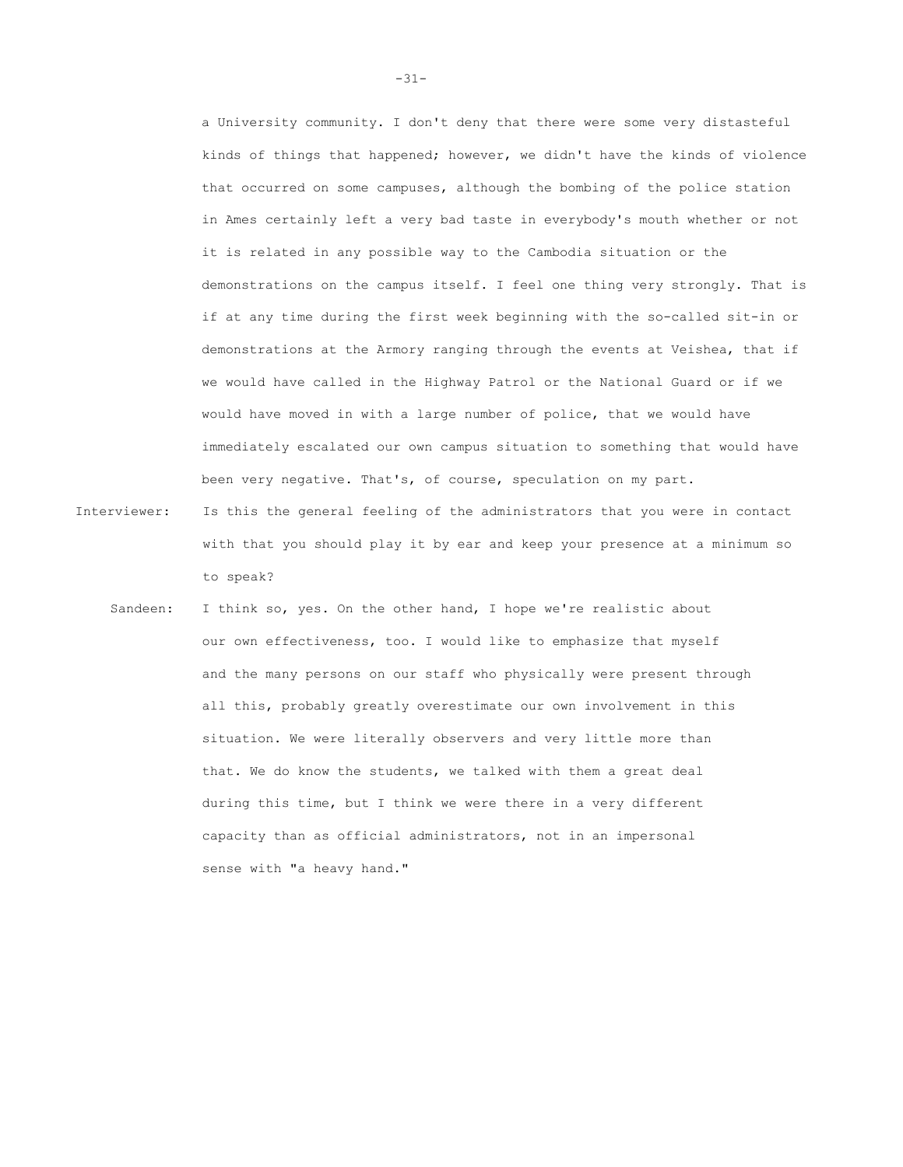a University community. I don't deny that there were some very distasteful kinds of things that happened; however, we didn't have the kinds of violence that occurred on some campuses, although the bombing of the police station in Ames certainly left a very bad taste in everybody's mouth whether or not it is related in any possible way to the Cambodia situation or the demonstrations on the campus itself. I feel one thing very strongly. That is if at any time during the first week beginning with the so-called sit-in or demonstrations at the Armory ranging through the events at Veishea, that if we would have called in the Highway Patrol or the National Guard or if we would have moved in with a large number of police, that we would have immediately escalated our own campus situation to something that would have been very negative. That's, of course, speculation on my part.

- Interviewer: Is this the general feeling of the administrators that you were in contact with that you should play it by ear and keep your presence at a minimum so to speak?
	- Sandeen: I think so, yes. On the other hand, I hope we're realistic about our own effectiveness, too. I would like to emphasize that myself and the many persons on our staff who physically were present through all this, probably greatly overestimate our own involvement in this situation. We were literally observers and very little more than that. We do know the students, we talked with them a great deal during this time, but I think we were there in a very different capacity than as official administrators, not in an impersonal sense with "a heavy hand."

-31-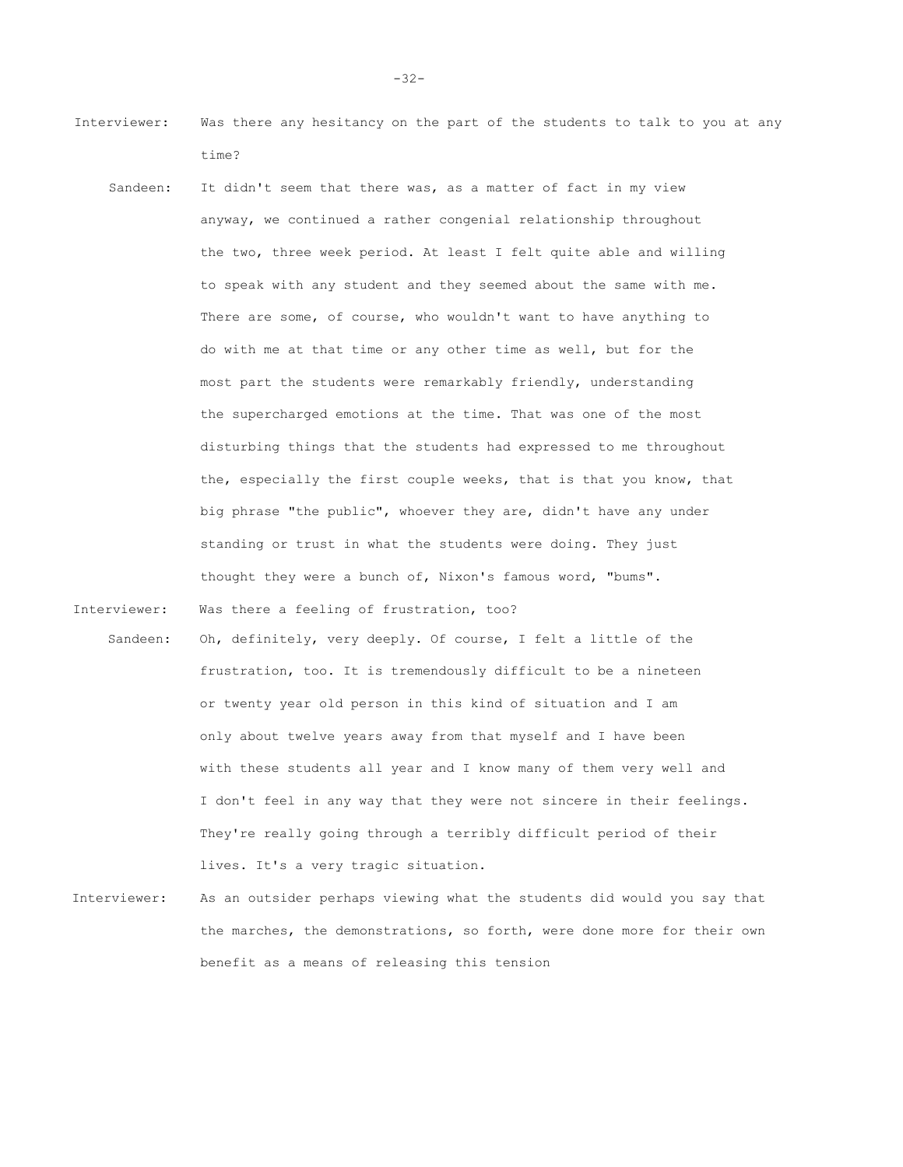- Interviewer: Was there any hesitancy on the part of the students to talk to you at any time?
	- Sandeen: It didn't seem that there was, as a matter of fact in my view anyway, we continued a rather congenial relationship throughout the two, three week period. At least I felt quite able and willing to speak with any student and they seemed about the same with me. There are some, of course, who wouldn't want to have anything to do with me at that time or any other time as well, but for the most part the students were remarkably friendly, understanding the supercharged emotions at the time. That was one of the most disturbing things that the students had expressed to me throughout the, especially the first couple weeks, that is that you know, that big phrase "the public", whoever they are, didn't have any under standing or trust in what the students were doing. They just thought they were a bunch of, Nixon's famous word, "bums".

Interviewer: Was there a feeling of frustration, too?

- Sandeen: Oh, definitely, very deeply. Of course, I felt a little of the frustration, too. It is tremendously difficult to be a nineteen or twenty year old person in this kind of situation and I am only about twelve years away from that myself and I have been with these students all year and I know many of them very well and I don't feel in any way that they were not sincere in their feelings. They're really going through a terribly difficult period of their lives. It's a very tragic situation.
- Interviewer: As an outsider perhaps viewing what the students did would you say that the marches, the demonstrations, so forth, were done more for their own benefit as a means of releasing this tension

-32-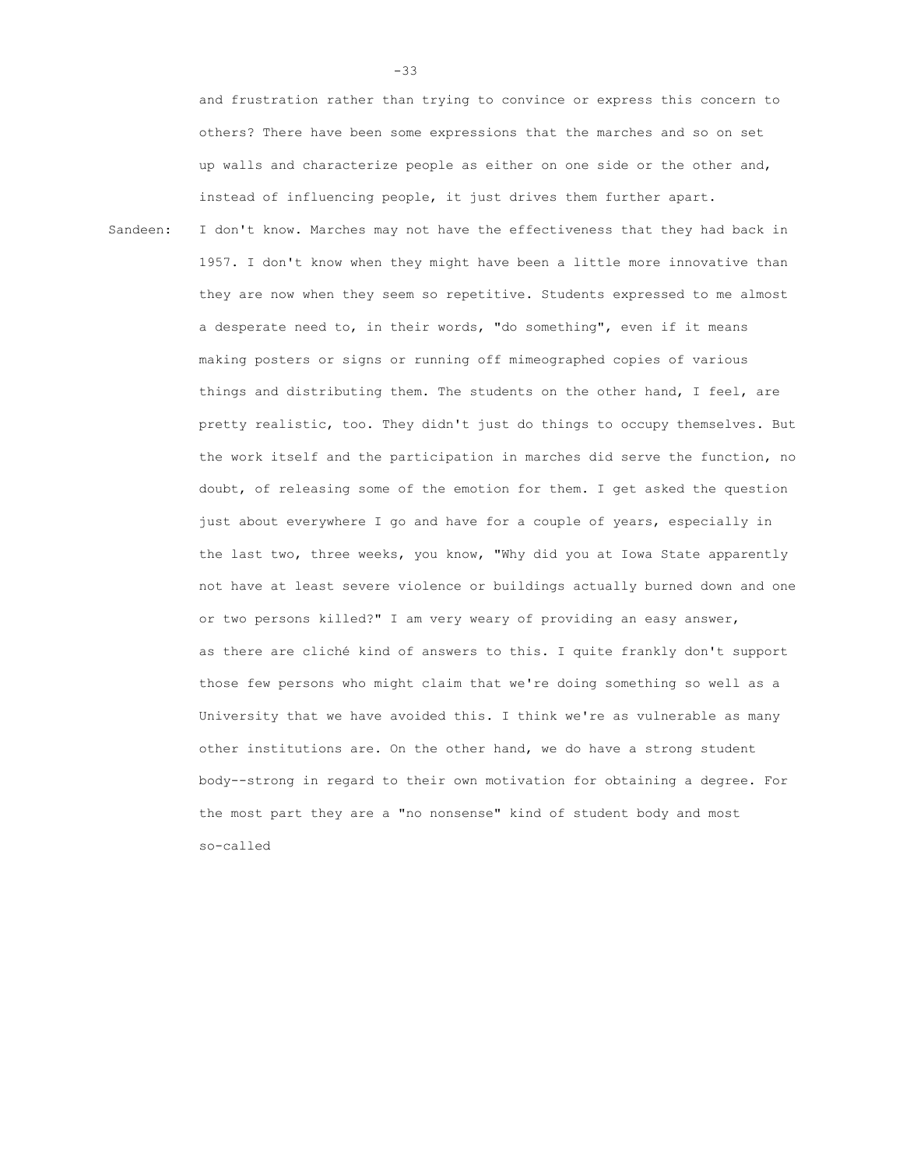and frustration rather than trying to convince or express this concern to others? There have been some expressions that the marches and so on set up walls and characterize people as either on one side or the other and, instead of influencing people, it just drives them further apart.

Sandeen: I don't know. Marches may not have the effectiveness that they had back in 1957. I don't know when they might have been a little more innovative than they are now when they seem so repetitive. Students expressed to me almost a desperate need to, in their words, "do something", even if it means making posters or signs or running off mimeographed copies of various things and distributing them. The students on the other hand, I feel, are pretty realistic, too. They didn't just do things to occupy themselves. But the work itself and the participation in marches did serve the function, no doubt, of releasing some of the emotion for them. I get asked the question just about everywhere I go and have for a couple of years, especially in the last two, three weeks, you know, "Why did you at Iowa State apparently not have at least severe violence or buildings actually burned down and one or two persons killed?" I am very weary of providing an easy answer, as there are cliché kind of answers to this. I quite frankly don't support those few persons who might claim that we're doing something so well as a University that we have avoided this. I think we're as vulnerable as many other institutions are. On the other hand, we do have a strong student body--strong in regard to their own motivation for obtaining a degree. For the most part they are a "no nonsense" kind of student body and most so-called

-33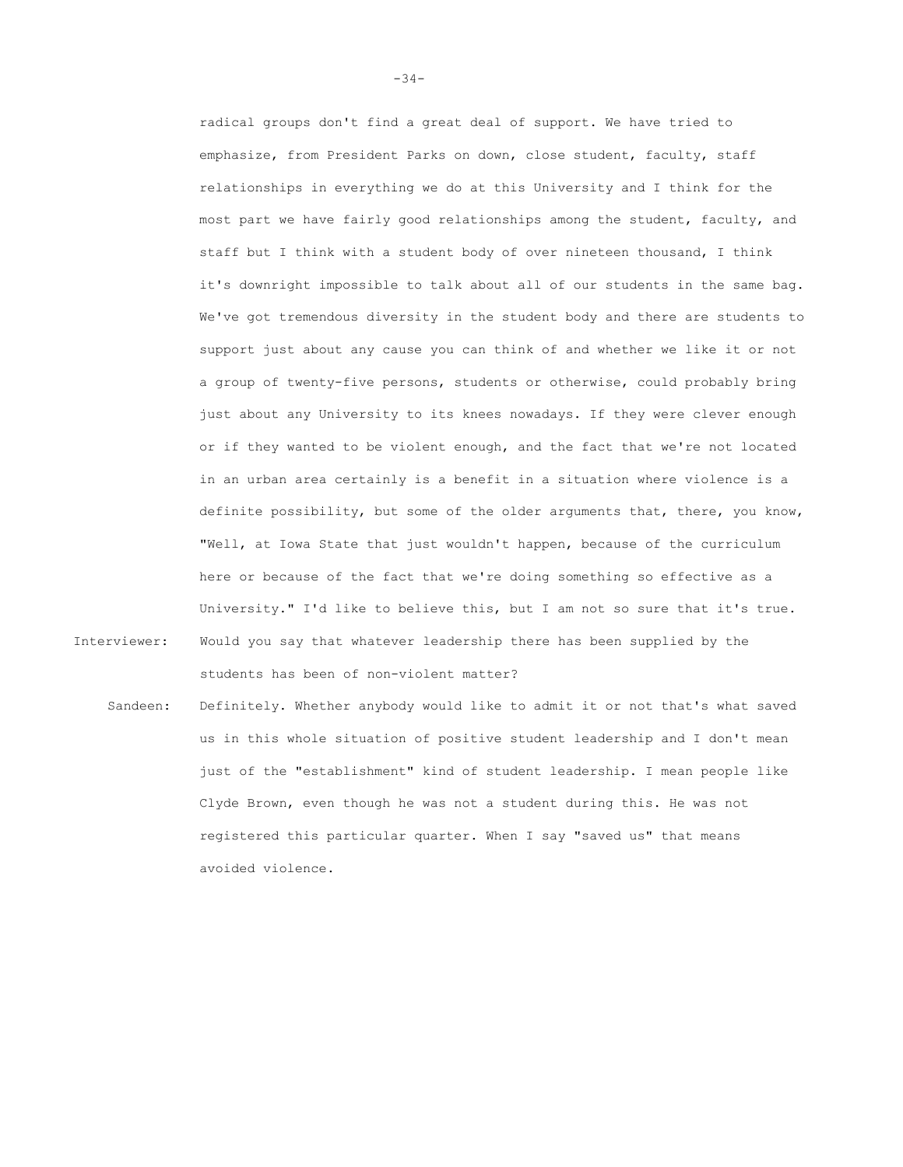radical groups don't find a great deal of support. We have tried to emphasize, from President Parks on down, close student, faculty, staff relationships in everything we do at this University and I think for the most part we have fairly good relationships among the student, faculty, and staff but I think with a student body of over nineteen thousand, I think it's downright impossible to talk about all of our students in the same bag. We've got tremendous diversity in the student body and there are students to support just about any cause you can think of and whether we like it or not a group of twenty-five persons, students or otherwise, could probably bring just about any University to its knees nowadays. If they were clever enough or if they wanted to be violent enough, and the fact that we're not located in an urban area certainly is a benefit in a situation where violence is a definite possibility, but some of the older arguments that, there, you know, "Well, at Iowa State that just wouldn't happen, because of the curriculum here or because of the fact that we're doing something so effective as a University." I'd like to believe this, but I am not so sure that it's true. Interviewer: Would you say that whatever leadership there has been supplied by the

Sandeen: Definitely. Whether anybody would like to admit it or not that's what saved us in this whole situation of positive student leadership and I don't mean just of the "establishment" kind of student leadership. I mean people like Clyde Brown, even though he was not a student during this. He was not registered this particular quarter. When I say "saved us" that means avoided violence.

students has been of non-violent matter?

-34-